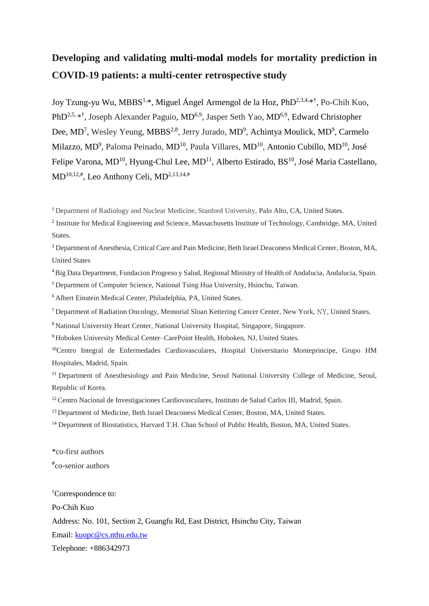# **Developing and validating multi-modal models for mortality prediction in COVID-19 patients: a multi-center retrospective study**

Joy Tzung-yu Wu, MBBS<sup>1,\*</sup>, Miguel Ángel Armengol de la Hoz, PhD<sup>2,3,4,\*†</sup>, Po-Chih Kuo, PhD<sup>2,5, \*†</sup>, Joseph Alexander Paguio, MD<sup>6,9</sup>, Jasper Seth Yao, MD<sup>6,9</sup>, Edward Christopher Dee, MD<sup>7</sup>, Wesley Yeung, MBBS<sup>2,8</sup>, Jerry Jurado, MD<sup>9</sup>, Achintya Moulick, MD<sup>9</sup>, Carmelo Milazzo, MD<sup>9</sup>, Paloma Peinado, MD<sup>10</sup>, Paula Villares, MD<sup>10</sup>, Antonio Cubillo, MD<sup>10</sup>, José Felipe Varona,  $MD^{10}$ , Hyung-Chul Lee,  $MD^{11}$ , Alberto Estirado, BS<sup>10</sup>, José Maria Castellano,  $MD^{10,12,\#}$ , Leo Anthony Celi,  $MD^{2,13,14,\#}$ 

<sup>1</sup> Department of Radiology and Nuclear Medicine, Stanford University, Palo Alto, CA, United States.

<sup>2</sup> Institute for Medical Engineering and Science, Massachusetts Institute of Technology, Cambridge, MA, United States.

<sup>3</sup> Department of Anesthesia, Critical Care and Pain Medicine, Beth Israel Deaconess Medical Center, Boston, MA, United States

<sup>4</sup>Big Data Department, Fundacion Progreso y Salud, Regional Ministry of Health of Andalucia, Andalucia, Spain. <sup>5</sup>Department of Computer Science, National Tsing Hua University, Hsinchu, Taiwan.

<sup>6</sup>Albert Einstein Medical Center, Philadelphia, PA, United States.

<sup>7</sup>Department of Radiation Oncology, Memorial Sloan Kettering Cancer Center, New York, NY, United States.

<sup>8</sup>National University Heart Center, National University Hospital, Singapore, Singapore.

<sup>9</sup>Hoboken University Medical Center–CarePoint Health, Hoboken, NJ, United States.

<sup>10</sup>Centro Integral de Enfermedades Cardiovasculares, Hospital Universitario Monteprincipe, Grupo HM Hospitales, Madrid, Spain.

<sup>11</sup> Department of Anesthesiology and Pain Medicine, Seoul National University College of Medicine, Seoul, Republic of Korea.

<sup>12</sup> Centro Nacional de Investigaciones Cardiovasculares, Instituto de Salud Carlos III, Madrid, Spain.

<sup>13</sup> Department of Medicine, Beth Israel Deaconess Medical Center, Boston, MA, United States.

<sup>14</sup> Department of Biostatistics, Harvard T.H. Chan School of Public Health, Boston, MA, United States.

\*co-first authors

# co-senior authors

†Correspondence to:

Po-Chih Kuo

Address: No. 101, Section 2, Guangfu Rd, East District, Hsinchu City, Taiwan

Email: [kuopc@cs.nthu.edu.tw](mailto:kuopc@cs.nthu.edu.tw)

Telephone: +886342973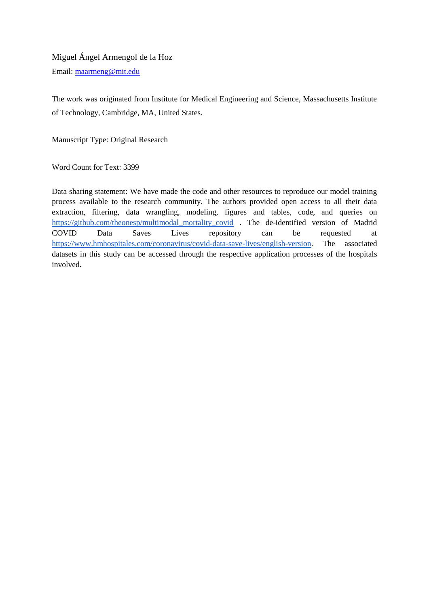## Miguel Ángel Armengol de la Hoz Email: [maarmeng@mit.edu](mailto:maarmeng@mit.edu)

The work was originated from Institute for Medical Engineering and Science, Massachusetts Institute of Technology, Cambridge, MA, United States.

Manuscript Type: Original Research

Word Count for Text: 3399

Data sharing statement: We have made the code and other resources to reproduce our model training process available to the research community. The authors provided open access to all their data extraction, filtering, data wrangling, modeling, figures and tables, code, and queries on [https://github.com/theonesp/multimodal\\_mortality\\_covid](https://github.com/theonesp/multimodal_mortality_covid) . The de-identified version of Madrid COVID Data Saves Lives repository can be requested at [https://www.hmhospitales.com/coronavirus/covid-data-save-lives/english-version.](https://www.hmhospitales.com/coronavirus/covid-data-save-lives/english-version) The associated datasets in this study can be accessed through the respective application processes of the hospitals involved.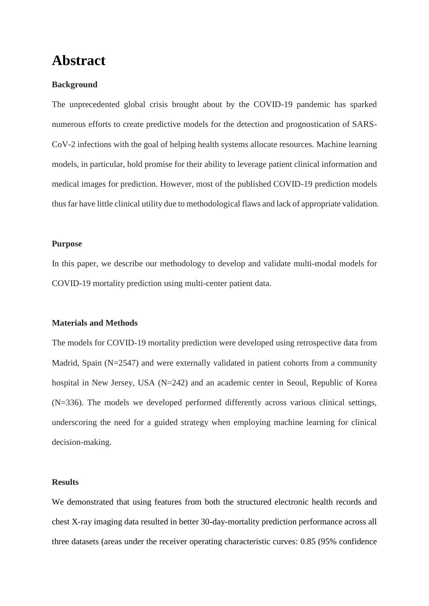# **Abstract**

### **Background**

The unprecedented global crisis brought about by the COVID-19 pandemic has sparked numerous efforts to create predictive models for the detection and prognostication of SARS-CoV-2 infections with the goal of helping health systems allocate resources. Machine learning models, in particular, hold promise for their ability to leverage patient clinical information and medical images for prediction. However, most of the published COVID-19 prediction models thus far have little clinical utility due to methodological flaws and lack of appropriate validation.

#### **Purpose**

In this paper, we describe our methodology to develop and validate multi-modal models for COVID-19 mortality prediction using multi-center patient data.

#### **Materials and Methods**

The models for COVID-19 mortality prediction were developed using retrospective data from Madrid, Spain (N=2547) and were externally validated in patient cohorts from a community hospital in New Jersey, USA (N=242) and an academic center in Seoul, Republic of Korea (N=336). The models we developed performed differently across various clinical settings, underscoring the need for a guided strategy when employing machine learning for clinical decision-making.

#### **Results**

We demonstrated that using features from both the structured electronic health records and chest X-ray imaging data resulted in better 30-day-mortality prediction performance across all three datasets (areas under the receiver operating characteristic curves: 0.85 (95% confidence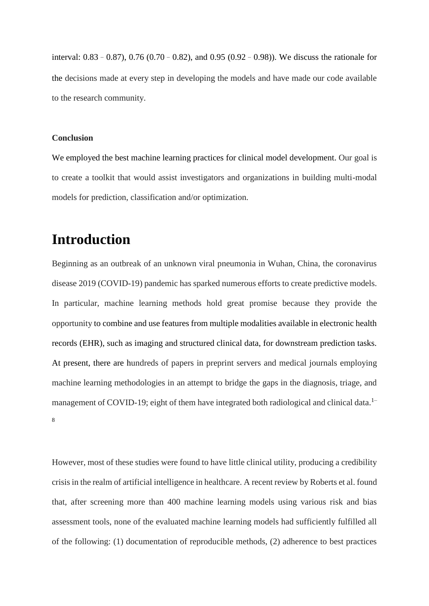interval: 0.83–0.87), 0.76 (0.70–0.82), and 0.95 (0.92–0.98)). We discuss the rationale for the decisions made at every step in developing the models and have made our code available to the research community.

### **Conclusion**

We employed the best machine learning practices for clinical model development. Our goal is to create a toolkit that would assist investigators and organizations in building multi-modal models for prediction, classification and/or optimization.

# **Introduction**

Beginning as an outbreak of an unknown viral pneumonia in Wuhan, China, the coronavirus disease 2019 (COVID-19) pandemic has sparked numerous efforts to create predictive models. In particular, machine learning methods hold great promise because they provide the opportunity to combine and use features from multiple modalities available in electronic health records (EHR), such as imaging and structured clinical data, for downstream prediction tasks. At present, there are hundreds of papers in preprint servers and medical journals employing machine learning methodologies in an attempt to bridge the gaps in the diagnosis, triage, and management of COVID-19; eight of them have integrated both radiological and clinical data.<sup>1–</sup> 8

However, most of these studies were found to have little clinical utility, producing a credibility crisis in the realm of artificial intelligence in healthcare. A recent review by Roberts et al. found that, after screening more than 400 machine learning models using various risk and bias assessment tools, none of the evaluated machine learning models had sufficiently fulfilled all of the following: (1) documentation of reproducible methods, (2) adherence to best practices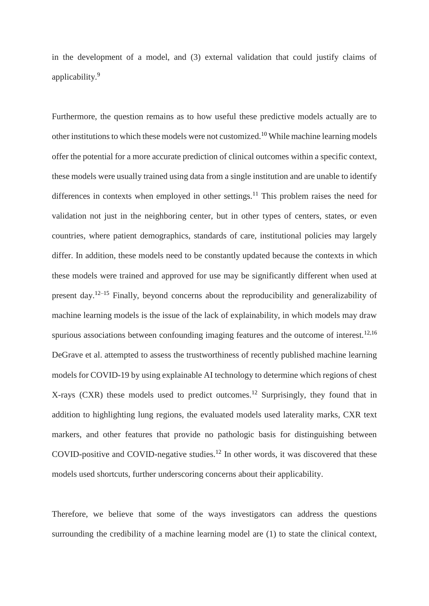in the development of a model, and (3) external validation that could justify claims of applicability.<sup>9</sup>

Furthermore, the question remains as to how useful these predictive models actually are to other institutions to which these models were not customized.<sup>10</sup> While machine learning models offer the potential for a more accurate prediction of clinical outcomes within a specific context, these models were usually trained using data from a single institution and are unable to identify differences in contexts when employed in other settings.<sup>11</sup> This problem raises the need for validation not just in the neighboring center, but in other types of centers, states, or even countries, where patient demographics, standards of care, institutional policies may largely differ. In addition, these models need to be constantly updated because the contexts in which these models were trained and approved for use may be significantly different when used at present day.<sup>12–15</sup> Finally, beyond concerns about the reproducibility and generalizability of machine learning models is the issue of the lack of explainability, in which models may draw spurious associations between confounding imaging features and the outcome of interest.<sup>12,16</sup> DeGrave et al. attempted to assess the trustworthiness of recently published machine learning models for COVID-19 by using explainable AI technology to determine which regions of chest X-rays (CXR) these models used to predict outcomes.<sup>12</sup> Surprisingly, they found that in addition to highlighting lung regions, the evaluated models used laterality marks, CXR text markers, and other features that provide no pathologic basis for distinguishing between COVID-positive and COVID-negative studies.<sup>12</sup> In other words, it was discovered that these models used shortcuts, further underscoring concerns about their applicability.

Therefore, we believe that some of the ways investigators can address the questions surrounding the credibility of a machine learning model are (1) to state the clinical context,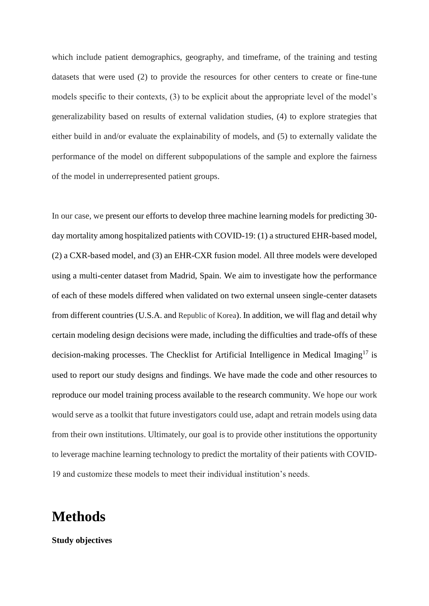which include patient demographics, geography, and timeframe, of the training and testing datasets that were used (2) to provide the resources for other centers to create or fine-tune models specific to their contexts, (3) to be explicit about the appropriate level of the model's generalizability based on results of external validation studies, (4) to explore strategies that either build in and/or evaluate the explainability of models, and (5) to externally validate the performance of the model on different subpopulations of the sample and explore the fairness of the model in underrepresented patient groups.

In our case, we present our efforts to develop three machine learning models for predicting 30 day mortality among hospitalized patients with COVID-19: (1) a structured EHR-based model, (2) a CXR-based model, and (3) an EHR-CXR fusion model. All three models were developed using a multi-center dataset from Madrid, Spain. We aim to investigate how the performance of each of these models differed when validated on two external unseen single-center datasets from different countries (U.S.A. and Republic of Korea). In addition, we will flag and detail why certain modeling design decisions were made, including the difficulties and trade-offs of these decision-making processes. The Checklist for Artificial Intelligence in Medical Imaging<sup>17</sup> is used to report our study designs and findings. We have made the code and other resources to reproduce our model training process available to the research community. We hope our work would serve as a toolkit that future investigators could use, adapt and retrain models using data from their own institutions. Ultimately, our goal is to provide other institutions the opportunity to leverage machine learning technology to predict the mortality of their patients with COVID-19 and customize these models to meet their individual institution's needs.

# **Methods**

**Study objectives**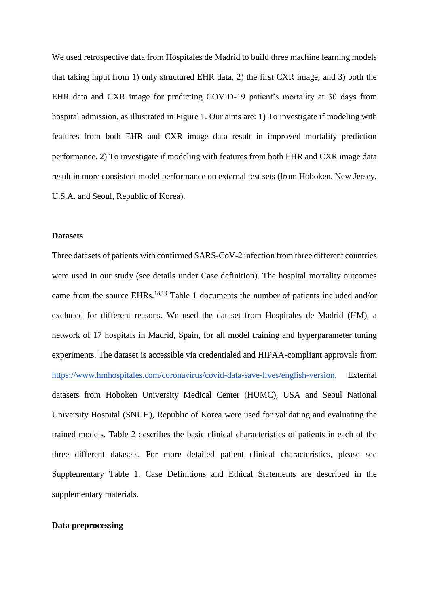We used retrospective data from Hospitales de Madrid to build three machine learning models that taking input from 1) only structured EHR data, 2) the first CXR image, and 3) both the EHR data and CXR image for predicting COVID-19 patient's mortality at 30 days from hospital admission, as illustrated in Figure 1. Our aims are: 1) To investigate if modeling with features from both EHR and CXR image data result in improved mortality prediction performance. 2) To investigate if modeling with features from both EHR and CXR image data result in more consistent model performance on external test sets (from Hoboken, New Jersey, U.S.A. and Seoul, Republic of Korea).

#### **Datasets**

Three datasets of patients with confirmed SARS-CoV-2 infection from three different countries were used in our study (see details under Case definition). The hospital mortality outcomes came from the source EHRs.<sup>18,19</sup> Table 1 documents the number of patients included and/or excluded for different reasons. We used the dataset from Hospitales de Madrid (HM), a network of 17 hospitals in Madrid, Spain, for all model training and hyperparameter tuning experiments. The dataset is accessible via credentialed and HIPAA-compliant approvals from [https://www.hmhospitales.com/coronavirus/covid-data-save-lives/english-version.](https://www.hmhospitales.com/coronavirus/covid-data-save-lives/english-version) External datasets from Hoboken University Medical Center (HUMC), USA and Seoul National University Hospital (SNUH), Republic of Korea were used for validating and evaluating the trained models. Table 2 describes the basic clinical characteristics of patients in each of the three different datasets. For more detailed patient clinical characteristics, please see Supplementary Table 1. Case Definitions and Ethical Statements are described in the supplementary materials.

#### **Data preprocessing**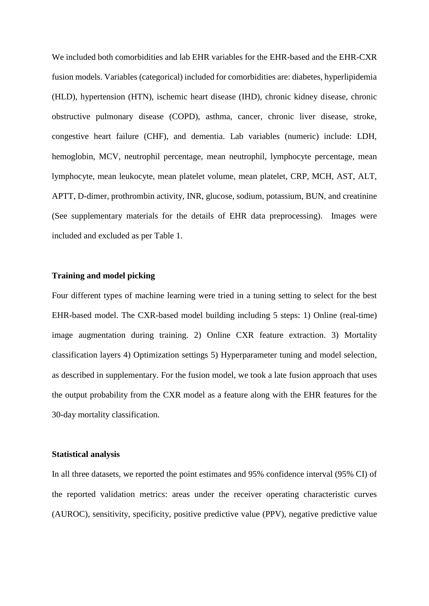We included both comorbidities and lab EHR variables for the EHR-based and the EHR-CXR fusion models. Variables (categorical) included for comorbidities are: diabetes, hyperlipidemia (HLD), hypertension (HTN), ischemic heart disease (IHD), chronic kidney disease, chronic obstructive pulmonary disease (COPD), asthma, cancer, chronic liver disease, stroke, congestive heart failure (CHF), and dementia. Lab variables (numeric) include: LDH, hemoglobin, MCV, neutrophil percentage, mean neutrophil, lymphocyte percentage, mean lymphocyte, mean leukocyte, mean platelet volume, mean platelet, CRP, MCH, AST, ALT, APTT, D-dimer, prothrombin activity, INR, glucose, sodium, potassium, BUN, and creatinine (See supplementary materials for the details of EHR data preprocessing). Images were included and excluded as per Table 1.

#### **Training and model picking**

Four different types of machine learning were tried in a tuning setting to select for the best EHR-based model. The CXR-based model building including 5 steps: 1) Online (real-time) image augmentation during training. 2) Online CXR feature extraction. 3) Mortality classification layers 4) Optimization settings 5) Hyperparameter tuning and model selection, as described in supplementary. For the fusion model, we took a late fusion approach that uses the output probability from the CXR model as a feature along with the EHR features for the 30-day mortality classification.

#### **Statistical analysis**

In all three datasets, we reported the point estimates and 95% confidence interval (95% CI) of the reported validation metrics: areas under the receiver operating characteristic curves (AUROC), sensitivity, specificity, positive predictive value (PPV), negative predictive value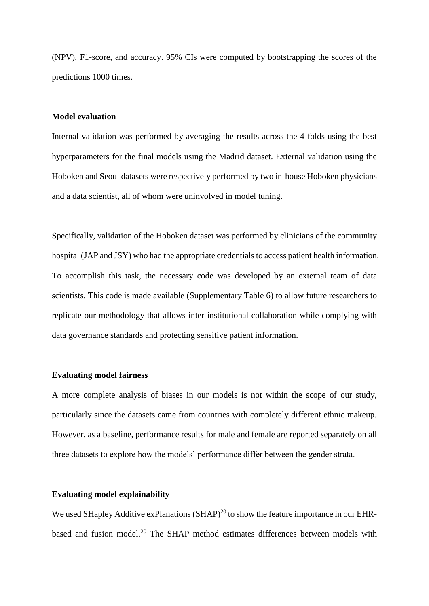(NPV), F1-score, and accuracy. 95% CIs were computed by bootstrapping the scores of the predictions 1000 times.

### **Model evaluation**

Internal validation was performed by averaging the results across the 4 folds using the best hyperparameters for the final models using the Madrid dataset. External validation using the Hoboken and Seoul datasets were respectively performed by two in-house Hoboken physicians and a data scientist, all of whom were uninvolved in model tuning.

Specifically, validation of the Hoboken dataset was performed by clinicians of the community hospital (JAP and JSY) who had the appropriate credentials to access patient health information. To accomplish this task, the necessary code was developed by an external team of data scientists. This code is made available (Supplementary Table 6) to allow future researchers to replicate our methodology that allows inter-institutional collaboration while complying with data governance standards and protecting sensitive patient information.

#### **Evaluating model fairness**

A more complete analysis of biases in our models is not within the scope of our study, particularly since the datasets came from countries with completely different ethnic makeup. However, as a baseline, performance results for male and female are reported separately on all three datasets to explore how the models' performance differ between the gender strata.

#### **Evaluating model explainability**

We used SHapley Additive exPlanations  $(SHAP)^{20}$  to show the feature importance in our EHRbased and fusion model.<sup>20</sup> The SHAP method estimates differences between models with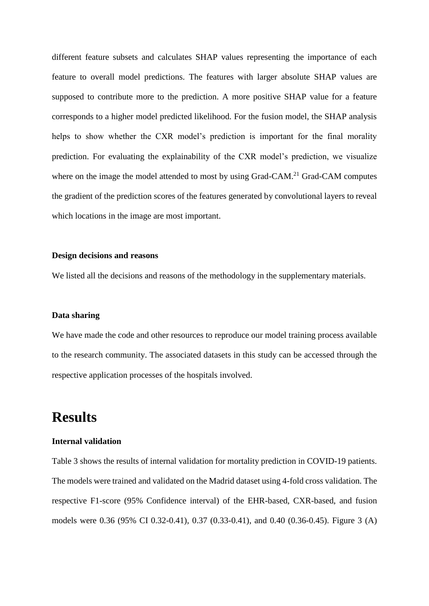different feature subsets and calculates SHAP values representing the importance of each feature to overall model predictions. The features with larger absolute SHAP values are supposed to contribute more to the prediction. A more positive SHAP value for a feature corresponds to a higher model predicted likelihood. For the fusion model, the SHAP analysis helps to show whether the CXR model's prediction is important for the final morality prediction. For evaluating the explainability of the CXR model's prediction, we visualize where on the image the model attended to most by using Grad-CAM.<sup>21</sup> Grad-CAM computes the gradient of the prediction scores of the features generated by convolutional layers to reveal which locations in the image are most important.

### **Design decisions and reasons**

We listed all the decisions and reasons of the methodology in the supplementary materials.

#### **Data sharing**

We have made the code and other resources to reproduce our model training process available to the research community. The associated datasets in this study can be accessed through the respective application processes of the hospitals involved.

# **Results**

### **Internal validation**

Table 3 shows the results of internal validation for mortality prediction in COVID-19 patients. The models were trained and validated on the Madrid dataset using 4-fold cross validation. The respective F1-score (95% Confidence interval) of the EHR-based, CXR-based, and fusion models were 0.36 (95% CI 0.32-0.41), 0.37 (0.33-0.41), and 0.40 (0.36-0.45). Figure 3 (A)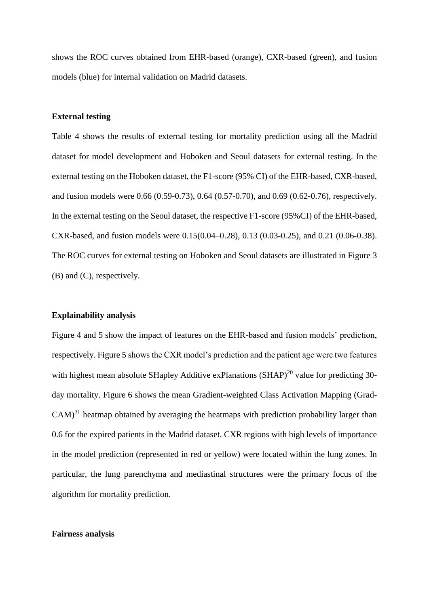shows the ROC curves obtained from EHR-based (orange), CXR-based (green), and fusion models (blue) for internal validation on Madrid datasets.

#### **External testing**

Table 4 shows the results of external testing for mortality prediction using all the Madrid dataset for model development and Hoboken and Seoul datasets for external testing. In the external testing on the Hoboken dataset, the F1-score (95% CI) of the EHR-based, CXR-based, and fusion models were 0.66 (0.59-0.73), 0.64 (0.57-0.70), and 0.69 (0.62-0.76), respectively. In the external testing on the Seoul dataset, the respective F1-score (95%CI) of the EHR-based, CXR-based, and fusion models were 0.15(0.04–0.28), 0.13 (0.03-0.25), and 0.21 (0.06-0.38). The ROC curves for external testing on Hoboken and Seoul datasets are illustrated in Figure 3 (B) and (C), respectively.

#### **Explainability analysis**

Figure 4 and 5 show the impact of features on the EHR-based and fusion models' prediction, respectively. Figure 5 shows the CXR model's prediction and the patient age were two features with highest mean absolute SHapley Additive exPlanations (SHAP)<sup>20</sup> value for predicting 30day mortality. Figure 6 shows the mean Gradient-weighted Class Activation Mapping (Grad- $CAM)^{21}$  heatmap obtained by averaging the heatmaps with prediction probability larger than 0.6 for the expired patients in the Madrid dataset. CXR regions with high levels of importance in the model prediction (represented in red or yellow) were located within the lung zones. In particular, the lung parenchyma and mediastinal structures were the primary focus of the algorithm for mortality prediction.

#### **Fairness analysis**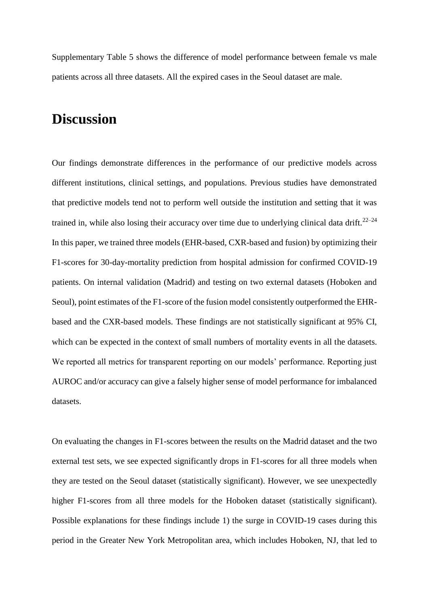Supplementary Table 5 shows the difference of model performance between female vs male patients across all three datasets. All the expired cases in the Seoul dataset are male.

# **Discussion**

Our findings demonstrate differences in the performance of our predictive models across different institutions, clinical settings, and populations. Previous studies have demonstrated that predictive models tend not to perform well outside the institution and setting that it was trained in, while also losing their accuracy over time due to underlying clinical data drift.<sup>22–24</sup> In this paper, we trained three models (EHR-based, CXR-based and fusion) by optimizing their F1-scores for 30-day-mortality prediction from hospital admission for confirmed COVID-19 patients. On internal validation (Madrid) and testing on two external datasets (Hoboken and Seoul), point estimates of the F1-score of the fusion model consistently outperformed the EHRbased and the CXR-based models. These findings are not statistically significant at 95% CI, which can be expected in the context of small numbers of mortality events in all the datasets. We reported all metrics for transparent reporting on our models' performance. Reporting just AUROC and/or accuracy can give a falsely higher sense of model performance for imbalanced datasets.

On evaluating the changes in F1-scores between the results on the Madrid dataset and the two external test sets, we see expected significantly drops in F1-scores for all three models when they are tested on the Seoul dataset (statistically significant). However, we see unexpectedly higher F1-scores from all three models for the Hoboken dataset (statistically significant). Possible explanations for these findings include 1) the surge in COVID-19 cases during this period in the Greater New York Metropolitan area, which includes Hoboken, NJ, that led to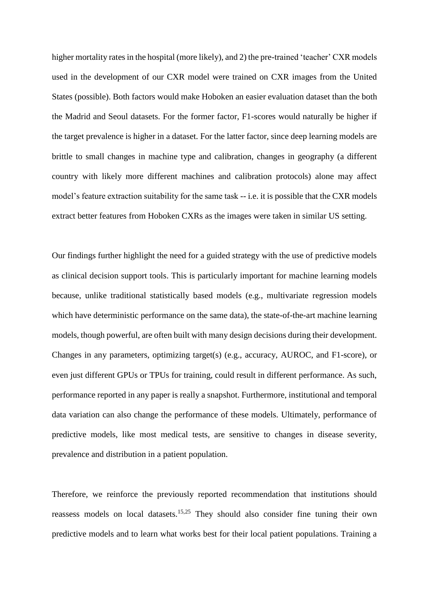higher mortality rates in the hospital (more likely), and 2) the pre-trained 'teacher' CXR models used in the development of our CXR model were trained on CXR images from the United States (possible). Both factors would make Hoboken an easier evaluation dataset than the both the Madrid and Seoul datasets. For the former factor, F1-scores would naturally be higher if the target prevalence is higher in a dataset. For the latter factor, since deep learning models are brittle to small changes in machine type and calibration, changes in geography (a different country with likely more different machines and calibration protocols) alone may affect model's feature extraction suitability for the same task -- i.e. it is possible that the CXR models extract better features from Hoboken CXRs as the images were taken in similar US setting.

Our findings further highlight the need for a guided strategy with the use of predictive models as clinical decision support tools. This is particularly important for machine learning models because, unlike traditional statistically based models (e.g., multivariate regression models which have deterministic performance on the same data), the state-of-the-art machine learning models, though powerful, are often built with many design decisions during their development. Changes in any parameters, optimizing target(s) (e.g., accuracy, AUROC, and F1-score), or even just different GPUs or TPUs for training, could result in different performance. As such, performance reported in any paper is really a snapshot. Furthermore, institutional and temporal data variation can also change the performance of these models. Ultimately, performance of predictive models, like most medical tests, are sensitive to changes in disease severity, prevalence and distribution in a patient population.

Therefore, we reinforce the previously reported recommendation that institutions should reassess models on local datasets.<sup>15,25</sup> They should also consider fine tuning their own predictive models and to learn what works best for their local patient populations. Training a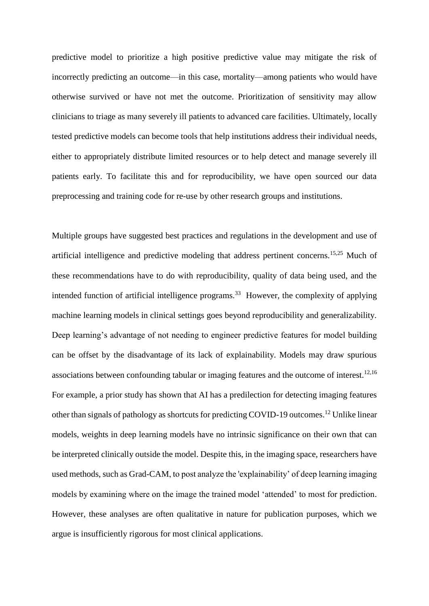predictive model to prioritize a high positive predictive value may mitigate the risk of incorrectly predicting an outcome—in this case, mortality—among patients who would have otherwise survived or have not met the outcome. Prioritization of sensitivity may allow clinicians to triage as many severely ill patients to advanced care facilities. Ultimately, locally tested predictive models can become tools that help institutions address their individual needs, either to appropriately distribute limited resources or to help detect and manage severely ill patients early. To facilitate this and for reproducibility, we have open sourced our data preprocessing and training code for re-use by other research groups and institutions.

Multiple groups have suggested best practices and regulations in the development and use of artificial intelligence and predictive modeling that address pertinent concerns.15,25 Much of these recommendations have to do with reproducibility, quality of data being used, and the intended function of artificial intelligence programs.<sup>33</sup> However, the complexity of applying machine learning models in clinical settings goes beyond reproducibility and generalizability. Deep learning's advantage of not needing to engineer predictive features for model building can be offset by the disadvantage of its lack of explainability. Models may draw spurious associations between confounding tabular or imaging features and the outcome of interest.<sup>12,16</sup> For example, a prior study has shown that AI has a predilection for detecting imaging features other than signals of pathology as shortcuts for predicting COVID-19 outcomes.<sup>12</sup> Unlike linear models, weights in deep learning models have no intrinsic significance on their own that can be interpreted clinically outside the model. Despite this, in the imaging space, researchers have used methods, such as Grad-CAM, to post analyze the 'explainability' of deep learning imaging models by examining where on the image the trained model 'attended' to most for prediction. However, these analyses are often qualitative in nature for publication purposes, which we argue is insufficiently rigorous for most clinical applications.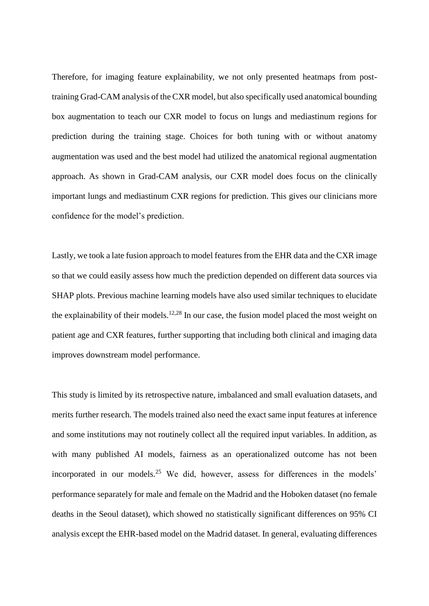Therefore, for imaging feature explainability, we not only presented heatmaps from posttraining Grad-CAM analysis of the CXR model, but also specifically used anatomical bounding box augmentation to teach our CXR model to focus on lungs and mediastinum regions for prediction during the training stage. Choices for both tuning with or without anatomy augmentation was used and the best model had utilized the anatomical regional augmentation approach. As shown in Grad-CAM analysis, our CXR model does focus on the clinically important lungs and mediastinum CXR regions for prediction. This gives our clinicians more confidence for the model's prediction.

Lastly, we took a late fusion approach to model features from the EHR data and the CXR image so that we could easily assess how much the prediction depended on different data sources via SHAP plots. Previous machine learning models have also used similar techniques to elucidate the explainability of their models.12,28 In our case, the fusion model placed the most weight on patient age and CXR features, further supporting that including both clinical and imaging data improves downstream model performance.

This study is limited by its retrospective nature, imbalanced and small evaluation datasets, and merits further research. The models trained also need the exact same input features at inference and some institutions may not routinely collect all the required input variables. In addition, as with many published AI models, fairness as an operationalized outcome has not been incorporated in our models.<sup>25</sup> We did, however, assess for differences in the models' performance separately for male and female on the Madrid and the Hoboken dataset (no female deaths in the Seoul dataset), which showed no statistically significant differences on 95% CI analysis except the EHR-based model on the Madrid dataset. In general, evaluating differences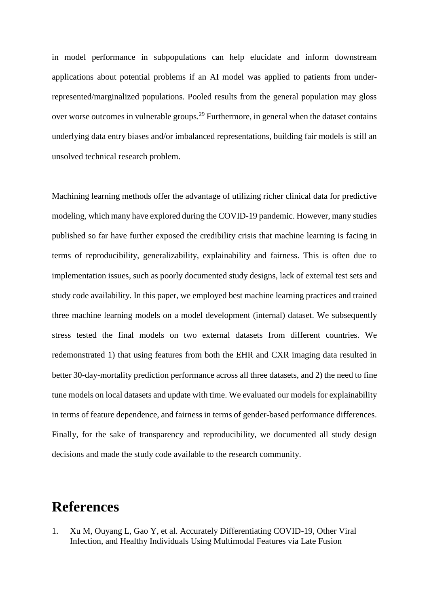in model performance in subpopulations can help elucidate and inform downstream applications about potential problems if an AI model was applied to patients from underrepresented/marginalized populations. Pooled results from the general population may gloss over worse outcomes in vulnerable groups.<sup>29</sup> Furthermore, in general when the dataset contains underlying data entry biases and/or imbalanced representations, building fair models is still an unsolved technical research problem.

Machining learning methods offer the advantage of utilizing richer clinical data for predictive modeling, which many have explored during the COVID-19 pandemic. However, many studies published so far have further exposed the credibility crisis that machine learning is facing in terms of reproducibility, generalizability, explainability and fairness. This is often due to implementation issues, such as poorly documented study designs, lack of external test sets and study code availability. In this paper, we employed best machine learning practices and trained three machine learning models on a model development (internal) dataset. We subsequently stress tested the final models on two external datasets from different countries. We redemonstrated 1) that using features from both the EHR and CXR imaging data resulted in better 30-day-mortality prediction performance across all three datasets, and 2) the need to fine tune models on local datasets and update with time. We evaluated our models for explainability in terms of feature dependence, and fairness in terms of gender-based performance differences. Finally, for the sake of transparency and reproducibility, we documented all study design decisions and made the study code available to the research community.

# **References**

1. Xu M, Ouyang L, Gao Y, et al. Accurately Differentiating COVID-19, Other Viral Infection, and Healthy Individuals Using Multimodal Features via Late Fusion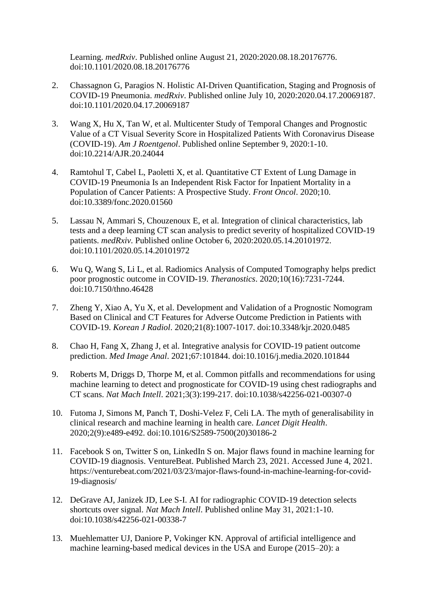Learning. *medRxiv*. Published online August 21, 2020:2020.08.18.20176776. doi:10.1101/2020.08.18.20176776

- 2. Chassagnon G, Paragios N. Holistic AI-Driven Quantification, Staging and Prognosis of COVID-19 Pneumonia. *medRxiv*. Published online July 10, 2020:2020.04.17.20069187. doi:10.1101/2020.04.17.20069187
- 3. Wang X, Hu X, Tan W, et al. Multicenter Study of Temporal Changes and Prognostic Value of a CT Visual Severity Score in Hospitalized Patients With Coronavirus Disease (COVID-19). *Am J Roentgenol*. Published online September 9, 2020:1-10. doi:10.2214/AJR.20.24044
- 4. Ramtohul T, Cabel L, Paoletti X, et al. Quantitative CT Extent of Lung Damage in COVID-19 Pneumonia Is an Independent Risk Factor for Inpatient Mortality in a Population of Cancer Patients: A Prospective Study. *Front Oncol*. 2020;10. doi:10.3389/fonc.2020.01560
- 5. Lassau N, Ammari S, Chouzenoux E, et al. Integration of clinical characteristics, lab tests and a deep learning CT scan analysis to predict severity of hospitalized COVID-19 patients. *medRxiv*. Published online October 6, 2020:2020.05.14.20101972. doi:10.1101/2020.05.14.20101972
- 6. Wu Q, Wang S, Li L, et al. Radiomics Analysis of Computed Tomography helps predict poor prognostic outcome in COVID-19. *Theranostics*. 2020;10(16):7231-7244. doi:10.7150/thno.46428
- 7. Zheng Y, Xiao A, Yu X, et al. Development and Validation of a Prognostic Nomogram Based on Clinical and CT Features for Adverse Outcome Prediction in Patients with COVID-19. *Korean J Radiol*. 2020;21(8):1007-1017. doi:10.3348/kjr.2020.0485
- 8. Chao H, Fang X, Zhang J, et al. Integrative analysis for COVID-19 patient outcome prediction. *Med Image Anal*. 2021;67:101844. doi:10.1016/j.media.2020.101844
- 9. Roberts M, Driggs D, Thorpe M, et al. Common pitfalls and recommendations for using machine learning to detect and prognosticate for COVID-19 using chest radiographs and CT scans. *Nat Mach Intell*. 2021;3(3):199-217. doi:10.1038/s42256-021-00307-0
- 10. Futoma J, Simons M, Panch T, Doshi-Velez F, Celi LA. The myth of generalisability in clinical research and machine learning in health care. *Lancet Digit Health*. 2020;2(9):e489-e492. doi:10.1016/S2589-7500(20)30186-2
- 11. Facebook S on, Twitter S on, LinkedIn S on. Major flaws found in machine learning for COVID-19 diagnosis. VentureBeat. Published March 23, 2021. Accessed June 4, 2021. https://venturebeat.com/2021/03/23/major-flaws-found-in-machine-learning-for-covid-19-diagnosis/
- 12. DeGrave AJ, Janizek JD, Lee S-I. AI for radiographic COVID-19 detection selects shortcuts over signal. *Nat Mach Intell*. Published online May 31, 2021:1-10. doi:10.1038/s42256-021-00338-7
- 13. Muehlematter UJ, Daniore P, Vokinger KN. Approval of artificial intelligence and machine learning-based medical devices in the USA and Europe (2015–20): a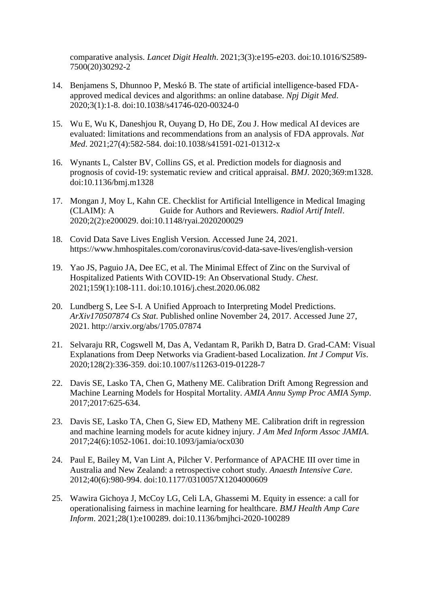comparative analysis. *Lancet Digit Health*. 2021;3(3):e195-e203. doi:10.1016/S2589- 7500(20)30292-2

- 14. Benjamens S, Dhunnoo P, Meskó B. The state of artificial intelligence-based FDAapproved medical devices and algorithms: an online database. *Npj Digit Med*. 2020;3(1):1-8. doi:10.1038/s41746-020-00324-0
- 15. Wu E, Wu K, Daneshjou R, Ouyang D, Ho DE, Zou J. How medical AI devices are evaluated: limitations and recommendations from an analysis of FDA approvals. *Nat Med*. 2021;27(4):582-584. doi:10.1038/s41591-021-01312-x
- 16. Wynants L, Calster BV, Collins GS, et al. Prediction models for diagnosis and prognosis of covid-19: systematic review and critical appraisal. *BMJ*. 2020;369:m1328. doi:10.1136/bmj.m1328
- 17. Mongan J, Moy L, Kahn CE. Checklist for Artificial Intelligence in Medical Imaging (CLAIM): A Guide for Authors and Reviewers. *Radiol Artif Intell*. 2020;2(2):e200029. doi:10.1148/ryai.2020200029
- 18. Covid Data Save Lives English Version. Accessed June 24, 2021. https://www.hmhospitales.com/coronavirus/covid-data-save-lives/english-version
- 19. Yao JS, Paguio JA, Dee EC, et al. The Minimal Effect of Zinc on the Survival of Hospitalized Patients With COVID-19: An Observational Study. *Chest*. 2021;159(1):108-111. doi:10.1016/j.chest.2020.06.082
- 20. Lundberg S, Lee S-I. A Unified Approach to Interpreting Model Predictions. *ArXiv170507874 Cs Stat*. Published online November 24, 2017. Accessed June 27, 2021. http://arxiv.org/abs/1705.07874
- 21. Selvaraju RR, Cogswell M, Das A, Vedantam R, Parikh D, Batra D. Grad-CAM: Visual Explanations from Deep Networks via Gradient-based Localization. *Int J Comput Vis*. 2020;128(2):336-359. doi:10.1007/s11263-019-01228-7
- 22. Davis SE, Lasko TA, Chen G, Matheny ME. Calibration Drift Among Regression and Machine Learning Models for Hospital Mortality. *AMIA Annu Symp Proc AMIA Symp*. 2017;2017:625-634.
- 23. Davis SE, Lasko TA, Chen G, Siew ED, Matheny ME. Calibration drift in regression and machine learning models for acute kidney injury. *J Am Med Inform Assoc JAMIA*. 2017;24(6):1052-1061. doi:10.1093/jamia/ocx030
- 24. Paul E, Bailey M, Van Lint A, Pilcher V. Performance of APACHE III over time in Australia and New Zealand: a retrospective cohort study. *Anaesth Intensive Care*. 2012;40(6):980-994. doi:10.1177/0310057X1204000609
- 25. Wawira Gichoya J, McCoy LG, Celi LA, Ghassemi M. Equity in essence: a call for operationalising fairness in machine learning for healthcare. *BMJ Health Amp Care Inform*. 2021;28(1):e100289. doi:10.1136/bmjhci-2020-100289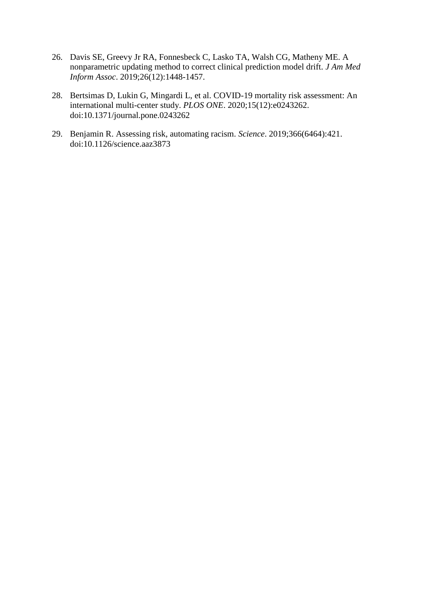- 26. Davis SE, Greevy Jr RA, Fonnesbeck C, Lasko TA, Walsh CG, Matheny ME. A nonparametric updating method to correct clinical prediction model drift. *J Am Med Inform Assoc*. 2019;26(12):1448-1457.
- 28. Bertsimas D, Lukin G, Mingardi L, et al. COVID-19 mortality risk assessment: An international multi-center study. *PLOS ONE*. 2020;15(12):e0243262. doi:10.1371/journal.pone.0243262
- 29. Benjamin R. Assessing risk, automating racism. *Science*. 2019;366(6464):421. doi:10.1126/science.aaz3873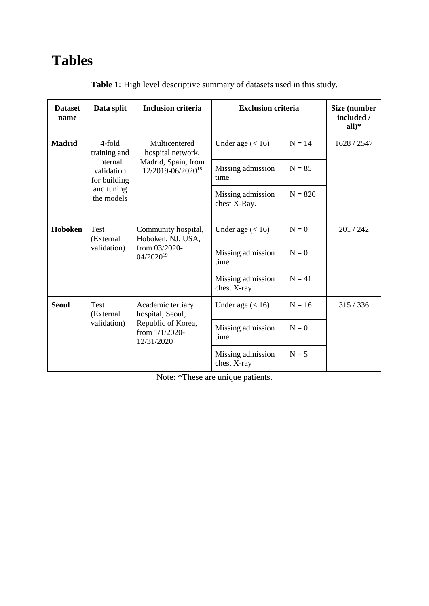# **Tables**

| <b>Dataset</b><br>name | Data split                             | <b>Inclusion criteria</b>                            | <b>Exclusion criteria</b>         |           | Size (number<br>included /<br>$all)*$ |
|------------------------|----------------------------------------|------------------------------------------------------|-----------------------------------|-----------|---------------------------------------|
| <b>Madrid</b>          | 4-fold<br>training and                 | Multicentered<br>hospital network,                   | Under age $(< 16)$                | $N = 14$  | 1628 / 2547                           |
|                        | internal<br>validation<br>for building | Madrid, Spain, from<br>12/2019-06/2020 <sup>18</sup> | Missing admission<br>time         | $N = 85$  |                                       |
|                        | and tuning<br>the models               |                                                      | Missing admission<br>chest X-Ray. | $N = 820$ |                                       |
| Hoboken                | <b>Test</b><br>(External               | Community hospital,<br>Hoboken, NJ, USA,             | Under age $(< 16)$                | $N = 0$   | 201/242                               |
|                        | validation)                            | from 03/2020-<br>04/2020 <sup>19</sup>               | Missing admission<br>time         | $N = 0$   |                                       |
|                        |                                        |                                                      | Missing admission<br>chest X-ray  | $N = 41$  |                                       |
| <b>Seoul</b>           | Test<br>(External                      | Academic tertiary<br>hospital, Seoul,                | Under age $(< 16)$                | $N = 16$  | 315/336                               |
|                        | validation)                            | Republic of Korea,<br>from 1/1/2020-<br>12/31/2020   | Missing admission<br>time         | $N = 0$   |                                       |
|                        |                                        |                                                      | Missing admission<br>chest X-ray  | $N = 5$   |                                       |

**Table 1:** High level descriptive summary of datasets used in this study.

Note: \*These are unique patients.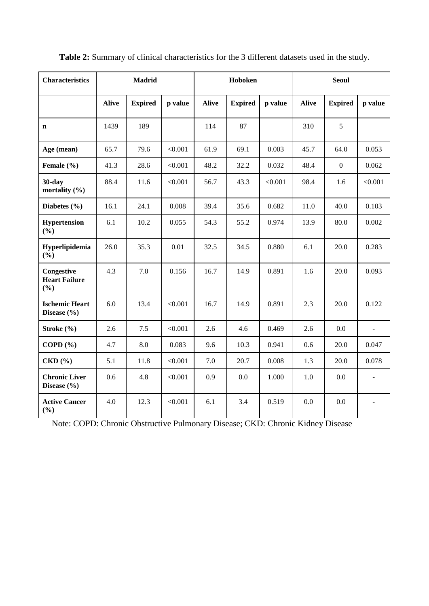| <b>Characteristics</b>                    | <b>Madrid</b> |                |         |              | Hoboken        |         |              | <b>Seoul</b>   |              |  |
|-------------------------------------------|---------------|----------------|---------|--------------|----------------|---------|--------------|----------------|--------------|--|
|                                           | <b>Alive</b>  | <b>Expired</b> | p value | <b>Alive</b> | <b>Expired</b> | p value | <b>Alive</b> | <b>Expired</b> | p value      |  |
| $\mathbf n$                               | 1439          | 189            |         | 114          | 87             |         | 310          | 5              |              |  |
| Age (mean)                                | 65.7          | 79.6           | < 0.001 | 61.9         | 69.1           | 0.003   | 45.7         | 64.0           | 0.053        |  |
| Female (%)                                | 41.3          | 28.6           | < 0.001 | 48.2         | 32.2           | 0.032   | 48.4         | $\mathbf{0}$   | 0.062        |  |
| $30$ -day<br>mortality (%)                | 88.4          | 11.6           | < 0.001 | 56.7         | 43.3           | < 0.001 | 98.4         | 1.6            | < 0.001      |  |
| Diabetes $(\% )$                          | 16.1          | 24.1           | 0.008   | 39.4         | 35.6           | 0.682   | 11.0         | 40.0           | 0.103        |  |
| Hypertension<br>(%)                       | 6.1           | 10.2           | 0.055   | 54.3         | 55.2           | 0.974   | 13.9         | 80.0           | 0.002        |  |
| Hyperlipidemia<br>$(\%)$                  | 26.0          | 35.3           | 0.01    | 32.5         | 34.5           | 0.880   | 6.1          | 20.0           | 0.283        |  |
| Congestive<br><b>Heart Failure</b><br>(%) | 4.3           | 7.0            | 0.156   | 16.7         | 14.9           | 0.891   | 1.6          | 20.0           | 0.093        |  |
| <b>Ischemic Heart</b><br>Disease (%)      | 6.0           | 13.4           | < 0.001 | 16.7         | 14.9           | 0.891   | 2.3          | 20.0           | 0.122        |  |
| Stroke $(\% )$                            | 2.6           | 7.5            | < 0.001 | 2.6          | 4.6            | 0.469   | 2.6          | $0.0\,$        | $\mathbf{r}$ |  |
| COPD $(\% )$                              | 4.7           | $8.0\,$        | 0.083   | 9.6          | 10.3           | 0.941   | 0.6          | 20.0           | 0.047        |  |
| CKD(%)                                    | 5.1           | 11.8           | < 0.001 | 7.0          | 20.7           | 0.008   | 1.3          | 20.0           | 0.078        |  |
| <b>Chronic Liver</b><br>Disease $(\% )$   | 0.6           | 4.8            | < 0.001 | 0.9          | 0.0            | 1.000   | 1.0          | 0.0            |              |  |
| <b>Active Cancer</b><br>$(\%)$            | 4.0           | 12.3           | < 0.001 | 6.1          | 3.4            | 0.519   | 0.0          | 0.0            |              |  |

**Table 2:** Summary of clinical characteristics for the 3 different datasets used in the study.

Note: COPD: Chronic Obstructive Pulmonary Disease; CKD: Chronic Kidney Disease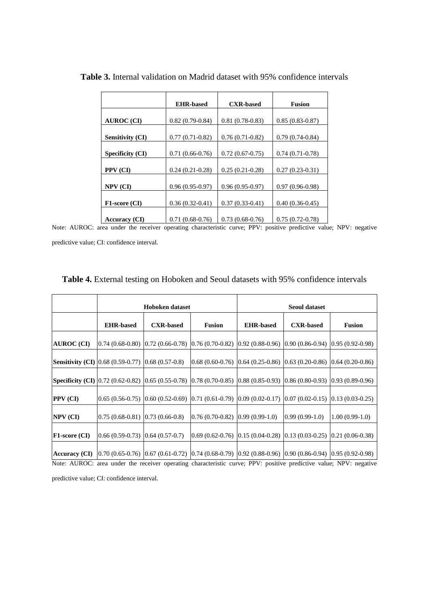|                         | <b>EHR-based</b>  | <b>CXR-based</b>  | <b>Fusion</b>     |
|-------------------------|-------------------|-------------------|-------------------|
|                         |                   |                   |                   |
| <b>AUROC</b> (CI)       | $0.82(0.79-0.84)$ | $0.81(0.78-0.83)$ | $0.85(0.83-0.87)$ |
|                         |                   |                   |                   |
| <b>Sensitivity (CI)</b> | $0.77(0.71-0.82)$ | $0.76(0.71-0.82)$ | $0.79(0.74-0.84)$ |
|                         |                   |                   |                   |
| <b>Specificity (CI)</b> | $0.71(0.66-0.76)$ | $0.72(0.67-0.75)$ | $0.74(0.71-0.78)$ |
|                         |                   |                   |                   |
| PPV (CI)                | $0.24(0.21-0.28)$ | $0.25(0.21-0.28)$ | $0.27(0.23-0.31)$ |
|                         |                   |                   |                   |
| NPV (CI)                | $0.96(0.95-0.97)$ | $0.96(0.95-0.97)$ | $0.97(0.96-0.98)$ |
|                         |                   |                   |                   |
| F1-score (CI)           | $0.36(0.32-0.41)$ | $0.37(0.33-0.41)$ | $0.40(0.36-0.45)$ |
|                         |                   |                   |                   |
| <b>Accuracy (CI)</b>    | $0.71(0.68-0.76)$ | $0.73(0.68-0.76)$ | $0.75(0.72-0.78)$ |

**Table 3.** Internal validation on Madrid dataset with 95% confidence intervals

Note: AUROC: area under the receiver operating characteristic curve; PPV: positive predictive value; NPV: negative

predictive value; CI: confidence interval.

|                      |                                                             | <b>Table 4.</b> External testing on Hoboken and Seoul datasets with 95% confidence intervals                                         |                   |                                                                              |                                                           |                  |  |
|----------------------|-------------------------------------------------------------|--------------------------------------------------------------------------------------------------------------------------------------|-------------------|------------------------------------------------------------------------------|-----------------------------------------------------------|------------------|--|
|                      |                                                             | <b>Hoboken</b> dataset                                                                                                               |                   | <b>Seoul dataset</b>                                                         |                                                           |                  |  |
|                      | <b>EHR-based</b>                                            | <b>CXR-based</b>                                                                                                                     | <b>Fusion</b>     | <b>EHR-based</b>                                                             | <b>CXR-based</b>                                          | <b>Fusion</b>    |  |
| <b>AUROC</b> (CI)    |                                                             | $0.74(0.68-0.80)[0.72(0.66-0.78)[0.76(0.70-0.82)]$                                                                                   |                   |                                                                              | $(0.92(0.88-0.96)$ $(0.90(0.86-0.94)$ $(0.95(0.92-0.98))$ |                  |  |
|                      | <b>Sensitivity (CI)</b> [0.68 (0.59-0.77) [0.68 (0.57-0.8)] |                                                                                                                                      | $0.68(0.60-0.76)$ | $[0.64 (0.25-0.86) [0.63 (0.20-0.86) [0.64 (0.20-0.86)]]$                    |                                                           |                  |  |
|                      |                                                             | <b>Specificity (CI)</b> [0.72 (0.62-0.82) [0.65 (0.55-0.78) [0.78 (0.70-0.85) [0.88 (0.85-0.93) [0.86 (0.80-0.93) [0.93 (0.89-0.96)] |                   |                                                                              |                                                           |                  |  |
| PPV (CI)             |                                                             | $0.65(0.56-0.75)$ $0.60(0.52-0.69)$ $0.71(0.61-0.79)$ $0.09(0.02-0.17)$ $0.07(0.02-0.15)$ $0.13(0.03-0.25)$                          |                   |                                                                              |                                                           |                  |  |
| $NPV$ (CI)           | $0.75(0.68-0.81)[0.73(0.66-0.8)]$                           |                                                                                                                                      | $0.76(0.70-0.82)$ | $0.99(0.99-1.0)$                                                             | $0.99(0.99-1.0)$                                          | $1.00(0.99-1.0)$ |  |
| <b>F1-score (CI)</b> | $0.66(0.59-0.73)$ $0.64(0.57-0.7)$                          |                                                                                                                                      |                   | $(0.69(0.62-0.76)$ $(0.15(0.04-0.28)$ $(0.13(0.03-0.25)$ $(0.21(0.06-0.38))$ |                                                           |                  |  |
| <b>Accuracy</b> (CI) |                                                             | $[0.70 (0.65-0.76) 0.67 (0.61-0.72) 0.74 (0.68-0.79) 0.92 (0.88-0.96) 0.90 (0.86-0.94) 0.95 (0.92-0.98)$                             |                   |                                                                              |                                                           |                  |  |

**Table 4.** External testing on Hoboken and Seoul datasets with 95% confidence intervals

Note: AUROC: area under the receiver operating characteristic curve; PPV: positive predictive value; NPV: negative

predictive value; CI: confidence interval.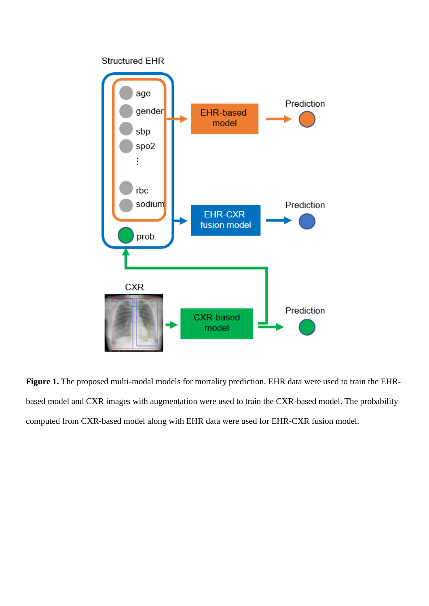

Figure 1. The proposed multi-modal models for mortality prediction. EHR data were used to train the EHRbased model and CXR images with augmentation were used to train the CXR-based model. The probability computed from CXR-based model along with EHR data were used for EHR-CXR fusion model.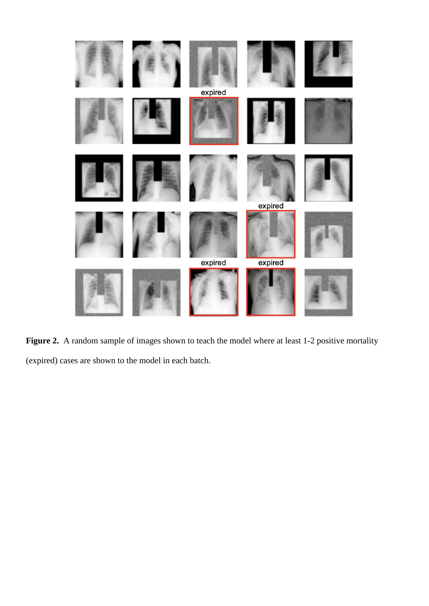

Figure 2. A random sample of images shown to teach the model where at least 1-2 positive mortality (expired) cases are shown to the model in each batch.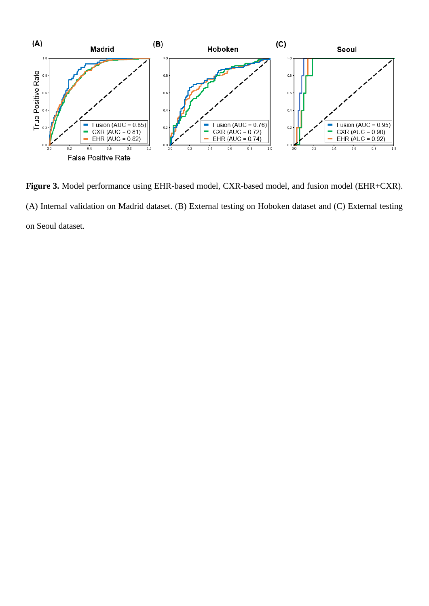

**Figure 3.** Model performance using EHR-based model, CXR-based model, and fusion model (EHR+CXR). (A) Internal validation on Madrid dataset. (B) External testing on Hoboken dataset and (C) External testing on Seoul dataset.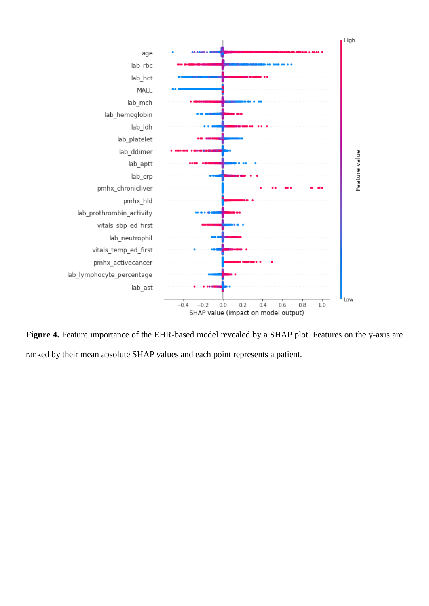

Figure 4. Feature importance of the EHR-based model revealed by a SHAP plot. Features on the y-axis are ranked by their mean absolute SHAP values and each point represents a patient.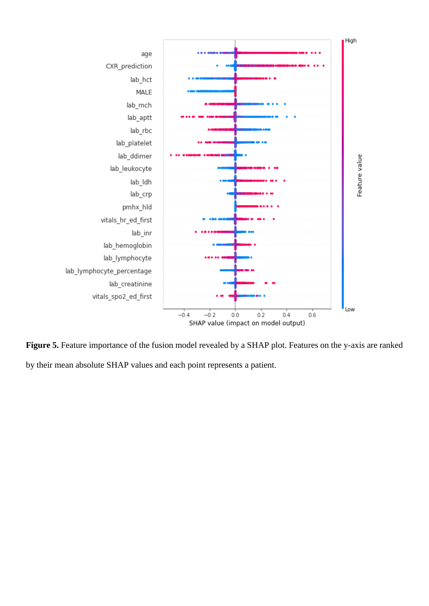

Figure 5. Feature importance of the fusion model revealed by a SHAP plot. Features on the y-axis are ranked by their mean absolute SHAP values and each point represents a patient.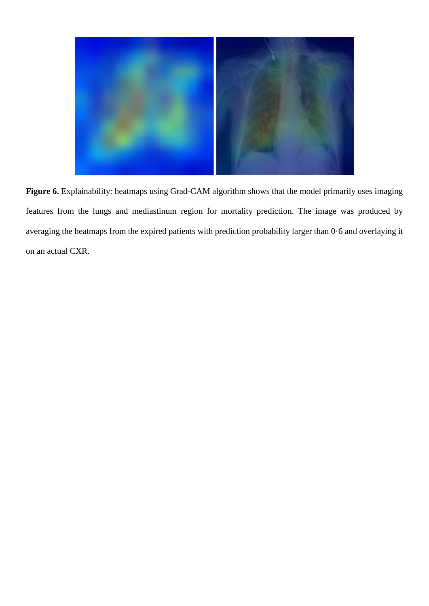

Figure 6. Explainability: heatmaps using Grad-CAM algorithm shows that the model primarily uses imaging features from the lungs and mediastinum region for mortality prediction. The image was produced by averaging the heatmaps from the expired patients with prediction probability larger than 0·6 and overlaying it on an actual CXR.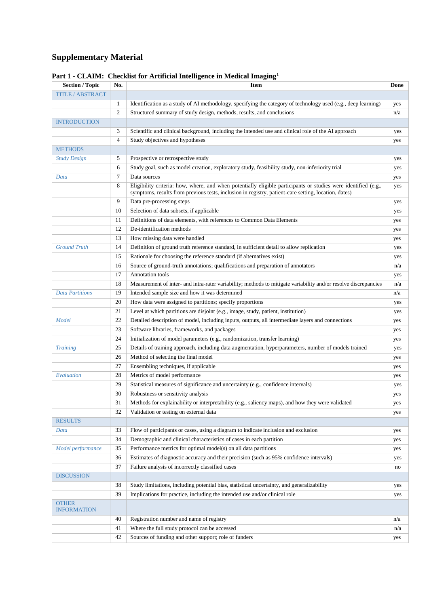# **Supplementary Material**

| <b>Section / Topic</b>             | No. | <b>Item</b>                                                                                                                                                                                                            | Done |
|------------------------------------|-----|------------------------------------------------------------------------------------------------------------------------------------------------------------------------------------------------------------------------|------|
| <b>TITLE / ABSTRACT</b>            |     |                                                                                                                                                                                                                        |      |
|                                    | 1   | Identification as a study of AI methodology, specifying the category of technology used (e.g., deep learning)                                                                                                          | yes  |
|                                    | 2   | Structured summary of study design, methods, results, and conclusions                                                                                                                                                  | n/a  |
| <b>INTRODUCTION</b>                |     |                                                                                                                                                                                                                        |      |
|                                    | 3   | Scientific and clinical background, including the intended use and clinical role of the AI approach                                                                                                                    | yes  |
|                                    | 4   | Study objectives and hypotheses                                                                                                                                                                                        | yes  |
| <b>METHODS</b>                     |     |                                                                                                                                                                                                                        |      |
| <b>Study Design</b>                | 5   | Prospective or retrospective study                                                                                                                                                                                     | yes  |
|                                    | 6   | Study goal, such as model creation, exploratory study, feasibility study, non-inferiority trial                                                                                                                        | yes  |
| Data                               | 7   | Data sources                                                                                                                                                                                                           | yes  |
|                                    | 8   | Eligibility criteria: how, where, and when potentially eligible participants or studies were identified (e.g.,<br>symptoms, results from previous tests, inclusion in registry, patient-care setting, location, dates) | yes  |
|                                    | 9   | Data pre-processing steps                                                                                                                                                                                              | yes  |
|                                    | 10  | Selection of data subsets, if applicable                                                                                                                                                                               | yes  |
|                                    | 11  | Definitions of data elements, with references to Common Data Elements                                                                                                                                                  | yes  |
|                                    | 12  | De-identification methods                                                                                                                                                                                              | yes  |
|                                    | 13  | How missing data were handled                                                                                                                                                                                          | yes  |
| <b>Ground Truth</b>                | 14  | Definition of ground truth reference standard, in sufficient detail to allow replication                                                                                                                               | yes  |
|                                    | 15  | Rationale for choosing the reference standard (if alternatives exist)                                                                                                                                                  | yes  |
|                                    | 16  | Source of ground-truth annotations; qualifications and preparation of annotators                                                                                                                                       | n/a  |
|                                    | 17  | Annotation tools                                                                                                                                                                                                       | yes  |
|                                    | 18  | Measurement of inter- and intra-rater variability; methods to mitigate variability and/or resolve discrepancies                                                                                                        | n/a  |
| <b>Data Partitions</b>             | 19  | Intended sample size and how it was determined                                                                                                                                                                         | n/a  |
|                                    | 20  | How data were assigned to partitions; specify proportions                                                                                                                                                              | yes  |
|                                    | 21  | Level at which partitions are disjoint (e.g., image, study, patient, institution)                                                                                                                                      | yes  |
| Model                              | 22  | Detailed description of model, including inputs, outputs, all intermediate layers and connections                                                                                                                      | yes  |
|                                    | 23  | Software libraries, frameworks, and packages                                                                                                                                                                           | yes  |
|                                    | 24  | Initialization of model parameters (e.g., randomization, transfer learning)                                                                                                                                            | yes  |
| <b>Training</b>                    | 25  | Details of training approach, including data augmentation, hyperparameters, number of models trained                                                                                                                   | yes  |
|                                    | 26  | Method of selecting the final model                                                                                                                                                                                    | yes  |
|                                    | 27  | Ensembling techniques, if applicable                                                                                                                                                                                   | yes  |
| Evaluation                         | 28  | Metrics of model performance                                                                                                                                                                                           | yes  |
|                                    | 29  | Statistical measures of significance and uncertainty (e.g., confidence intervals)                                                                                                                                      | yes  |
|                                    | 30  | Robustness or sensitivity analysis                                                                                                                                                                                     | yes  |
|                                    | 31  | Methods for explainability or interpretability (e.g., saliency maps), and how they were validated                                                                                                                      | yes  |
|                                    | 32  | Validation or testing on external data                                                                                                                                                                                 | yes  |
| <b>RESULTS</b>                     |     |                                                                                                                                                                                                                        |      |
| Data                               | 33  | Flow of participants or cases, using a diagram to indicate inclusion and exclusion                                                                                                                                     | yes  |
|                                    | 34  | Demographic and clinical characteristics of cases in each partition                                                                                                                                                    | yes  |
| Model performance                  | 35  | Performance metrics for optimal model(s) on all data partitions                                                                                                                                                        | yes  |
|                                    | 36  | Estimates of diagnostic accuracy and their precision (such as 95% confidence intervals)                                                                                                                                | yes  |
|                                    | 37  | Failure analysis of incorrectly classified cases                                                                                                                                                                       | no   |
| <b>DISCUSSION</b>                  |     |                                                                                                                                                                                                                        |      |
|                                    | 38  | Study limitations, including potential bias, statistical uncertainty, and generalizability                                                                                                                             | yes  |
|                                    | 39  | Implications for practice, including the intended use and/or clinical role                                                                                                                                             | yes  |
| <b>OTHER</b><br><b>INFORMATION</b> |     |                                                                                                                                                                                                                        |      |
|                                    | 40  | Registration number and name of registry                                                                                                                                                                               | n/a  |
|                                    | 41  | Where the full study protocol can be accessed                                                                                                                                                                          | n/a  |
|                                    | 42  | Sources of funding and other support; role of funders                                                                                                                                                                  | yes  |

### **Part 1 - CLAIM: Checklist for Artificial Intelligence in Medical Imaging<sup>1</sup>**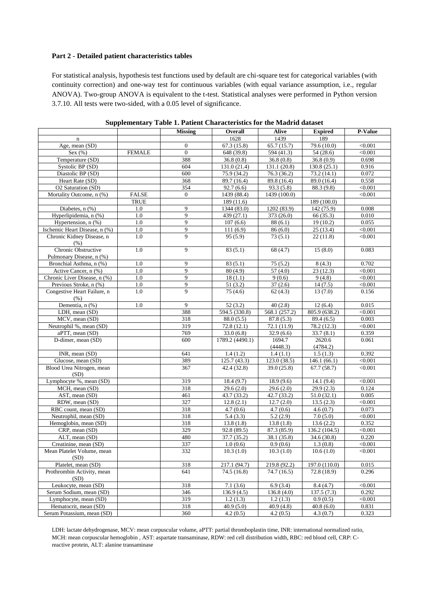#### **Part 2 - Detailed patient characteristics tables**

For statistical analysis, hypothesis test functions used by default are chi-square test for categorical variables (with continuity correction) and one-way test for continuous variables (with equal variance assumption, i.e., regular ANOVA). Two-group ANOVA is equivalent to the t-test. Statistical analyses were performed in Python version 3.7.10. All tests were two-sided, with a 0.05 level of significance.

|                               |               | <b>Missing</b> | Overall                 | Alive                   | <b>Expired</b>         | P-Value        |
|-------------------------------|---------------|----------------|-------------------------|-------------------------|------------------------|----------------|
| $\mathbf n$                   |               |                | 1628                    | 1439                    | 189                    |                |
| Age, mean (SD)                |               | $\mathbf{0}$   | 67.3(15.8)              | 65.7(15.7)              | 79.6 (10.0)            | < 0.001        |
| Sex $(\%)$                    | <b>FEMALE</b> | $\overline{0}$ | 648 (39.8)              | 594 (41.3)              | 54(28.6)               | < 0.001        |
| Temperature (SD)              |               | 388            | 36.8(0.8)               | 36.8(0.8)               | 36.8(0.9)              | 0.698          |
| Systolic BP (SD)              |               | 604            | 131.0 (21.4)            | 131.1 (20.8)            | 130.8(25.1)            | 0.916          |
| Diastolic BP (SD)             |               | 600            | 75.9 (34.2)             | 76.3(36.2)              | 73.2 (14.1)            | 0.072          |
| Heart Rate (SD)               |               | 368            | 89.7 (16.4)             | 89.8 (16.4)             | 89.0 (16.4)            | 0.558          |
| O2 Saturation (SD)            |               | 354            | 92.7(6.6)               | 93.3 (5.8)              | 88.3 (9.8)             | < 0.001        |
| Mortality Outcome, n (%)      | <b>FALSE</b>  | $\mathbf{0}$   | 1439 (88.4)             | 1439 (100.0)            |                        | < 0.001        |
|                               | <b>TRUE</b>   |                | 189 (11.6)              |                         | 189 (100.0)            |                |
| Diabetes, n (%)               | 1.0           | 9              | 1344 (83.0)             | 1202 (83.9)             | 142 (75.9)             | 0.008          |
| Hyperlipidemia, n (%)         | 1.0           | 9              | 439 (27.1)              | 373 (26.0)              | 66 (35.3)              | 0.010          |
| Hypertension, n (%)           | 1.0           | 9              | 107(6.6)                | 88(6.1)                 | 19(10.2)               | 0.055          |
| Ischemic Heart Disease, n (%) | 1.0           | 9              | 111(6.9)                | 86(6.0)                 | $\overline{25}$ (13.4) | < 0.001        |
| Chronic Kidney Disease, n     | 1.0           | 9              | 95 (5.9)                | 73(5.1)                 | 22(11.8)               | < 0.001        |
| (% )                          |               |                |                         |                         |                        |                |
| Chronic Obstructive           | 1.0           | 9              | 83(5.1)                 | 68 (4.7)                | 15(8.0)                | 0.083          |
| Pulmonary Disease, n (%)      |               |                |                         |                         |                        |                |
| Bronchial Asthma, n (%)       | 1.0           | 9              | 83(5.1)                 | 75(5.2)                 | 8(4.3)                 | 0.702          |
| Active Cancer, n (%)          | 1.0           | 9              | 80(4.9)                 | 57(4.0)                 | 23(12.3)               | < 0.001        |
| Chronic Liver Disease, n (%)  | 1.0           | 9              | 18(1.1)                 | 9(0.6)                  | 9(4.8)                 | < 0.001        |
| Previous Stroke, n (%)        | 1.0           | 9              | 51(3.2)                 | 37(2.6)                 | 14(7.5)                | < 0.001        |
| Congestive Heart Failure, n   | 1.0           | 9              | 75(4.6)                 | 62(4.3)                 | 13(7.0)                | 0.156          |
| (% )                          |               |                |                         |                         |                        |                |
| Dementia, n $(\frac{9}{6})$   | 1.0           | 9              | 52(3.2)                 | 40(2.8)                 | 12(6.4)                | 0.015          |
| LDH, mean (SD)                |               | 388            | 594.5 (330.8)           | 568.1 (257.2)           | 805.9 (638.2)          | $\sqrt{0.001}$ |
| MCV, mean (SD)                |               | 318            | 88.0(5.5)               | 87.8(5.3)               | 89.4 (6.5)             | 0.003          |
| Neutrophil %, mean (SD)       |               | 319            | 72.8(12.1)              | 72.1 (11.9)             | 78.2 (12.3)            | < 0.001        |
| aPTT, mean (SD)               |               | 769            | $\overline{33.0}$ (6.8) | $\overline{32.9}$ (6.6) | 33.7(8.1)              | 0.359          |
| D-dimer, mean (SD)            |               | 600            | 1789.2 (4490.1)         | 1694.7                  | 2620.6                 | 0.061          |
|                               |               |                |                         | (4448.3)                | (4784.2)               |                |
| INR, mean (SD)                |               | 641            | 1.4(1.2)                | 1.4(1.1)                | 1.5(1.3)               | 0.392          |
| Glucose, mean (SD)            |               | 389            | 125.7 (43.3)            | 123.0 (38.5)            | 146.1(66.1)            | < 0.001        |
| Blood Urea Nitrogen, mean     |               | 367            | 42.4(32.8)              | 39.0(25.8)              | 67.7(58.7)             | < 0.001        |
| (SD)                          |               |                |                         |                         |                        |                |
| Lymphocyte %, mean (SD)       |               | 319            | 18.4(9.7)               | 18.9(9.6)               | 14.1(9.4)              | < 0.001        |
| MCH, mean (SD)                |               | 318            | 29.6(2.0)               | 29.6(2.0)               | 29.9(2.3)              | 0.124          |
| AST, mean (SD)                |               | 461            | 43.7 (33.2)             | 42.7 (33.2)             | 51.0(32.1)             | 0.005          |
| RDW, mean (SD)                |               | 327            | 12.8(2.1)               | 12.7(2.0)               | 13.5(2.3)              | < 0.001        |
| RBC count, mean (SD)          |               | 318            | 4.7(0.6)                | 4.7(0.6)                | 4.6(0.7)               | 0.073          |
| Neutrophil, mean (SD)         |               | 318            | 5.4(3.3)                | 5.2(2.9)                | 7.0(5.0)               | < 0.001        |
| Hemoglobin, mean (SD)         |               | 318            | 13.8(1.8)               | 13.8(1.8)               | 13.6(2.2)              | 0.352          |
| CRP, mean (SD)                |               | 329            | 92.8(89.5)              | 87.3 (85.9)             | 136.2 (104.5)          | < 0.001        |
| ALT, mean (SD)                |               | 480            | 37.7 (35.2)             | 38.1 (35.8)             | 34.6 (30.8)            | 0.220          |
| Creatinine, mean (SD)         |               | 337            | 1.0(0.6)                | 0.9(0.6)                | 1.3(0.8)               | < 0.001        |
| Mean Platelet Volume, mean    |               | 332            | 10.3(1.0)               | 10.3(1.0)               | 10.6(1.0)              | < 0.001        |
| (SD)                          |               |                |                         |                         |                        |                |
| Platelet, mean (SD)           |               | 318            | 217.1 (94.7)            | 219.8 (92.2)            | 197.0 (110.0)          | 0.015          |
| Prothrombin Activity, mean    |               | 641            | 74.5(16.8)              | 74.7(16.5)              | 72.8 (18.9)            | 0.296          |
| (SD)                          |               |                |                         |                         |                        |                |
| Leukocyte, mean (SD)          |               | 318            | 7.1(3.6)                | 6.9(3.4)                | 8.4(4.7)               | < 0.001        |
| Serum Sodium, mean (SD)       |               | 346            | 136.9(4.5)              | 136.8(4.0)              | 137.5(7.3)             | 0.292          |
| Lymphocyte, mean (SD)         |               | 319            | 1.2(1.3)                | 1.2(1.3)                | 0.9(0.5)               | < 0.001        |
| Hematocrit, mean (SD)         |               | 318            | 40.9(5.0)               | 40.9(4.8)               | 40.8(6.0)              | 0.831          |
| Serum Potassium, mean (SD)    |               | 360            | 4.2(0.5)                | 4.2(0.5)                | 4.3(0.7)               | 0.323          |

**Supplementary Table 1. Patient Characteristics for the Madrid dataset**

LDH: lactate dehydrogenase, MCV: mean corpuscular volume, aPTT: partial thromboplastin time, INR: international normalized ratio, MCH: mean corpuscular hemoglobin , AST: aspartate transaminase, RDW: red cell distribution width, RBC: red blood cell, CRP: Creactive protein, ALT: alanine transaminase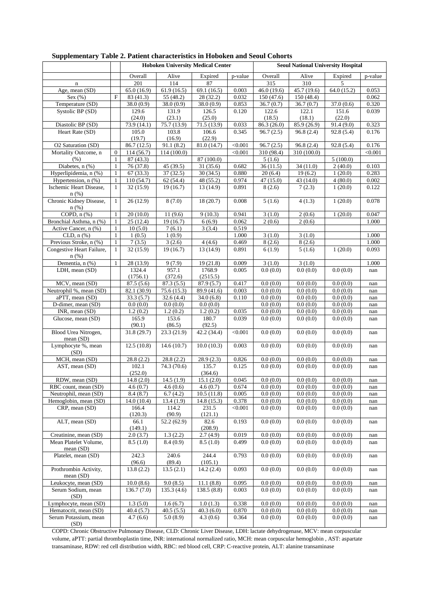|                                            |                              | <b>Hoboken University Medical Center</b> |                         |                          | <b>Seoul National University Hospital</b> |                      |                      |                          |                |
|--------------------------------------------|------------------------------|------------------------------------------|-------------------------|--------------------------|-------------------------------------------|----------------------|----------------------|--------------------------|----------------|
|                                            |                              | Overall                                  | Alive                   | Expired                  | p-value                                   | Overall              | Alive                | Expired                  | p-value        |
| $\mathbf n$                                |                              | 201                                      | 114                     | 87                       |                                           | 315                  | 310                  | 5                        |                |
| Age, mean (SD)                             |                              | 65.0(16.9)                               | 61.9(16.5)              | 69.1 (16.5)              | 0.003                                     | 46.0(19.6)           | 45.7 (19.6)          | $\overline{64.0}$ (15.2) | 0.053          |
| Sex $(\% )$                                | F                            | $\overline{83}$ (41.3)                   | $\overline{55}$ (48.2)  | 28 (32.2)                | 0.032                                     | 150(47.6)            | 150 (48.4)           |                          | 0.062          |
| Temperature (SD)<br>Systolic BP (SD)       |                              | 38.0 (0.9)<br>129.6                      | 38.0(0.9)<br>131.9      | 38.0(0.9)<br>126.5       | 0.853<br>0.120                            | 36.7(0.7)<br>122.6   | 36.7(0.7)<br>122.1   | 37.0(0.6)<br>151.6       | 0.320<br>0.039 |
|                                            |                              | (24.0)                                   | (23.1)                  | (25.0)                   |                                           | (18.5)               | (18.1)               | (22.0)                   |                |
| Diastolic BP (SD)                          |                              | 73.9 (14.1)                              | 75.7 (13.9)             | 71.5 (13.9)              | 0.033                                     | 86.3 (26.0)          | 85.9 (26.9)          | 91.4 (9.0)               | 0.323          |
| Heart Rate (SD)                            |                              | 105.0                                    | 103.8                   | 106.6                    | 0.345                                     | 96.7(2.5)            | 96.8(2.4)            | 92.8(5.4)                | 0.176          |
|                                            |                              | (19.7)                                   | (16.9)                  | (22.9)                   |                                           |                      |                      |                          |                |
| O2 Saturation (SD)                         |                              | 86.7 (12.5)                              | 91.1(8.2)               | 81.0(14.7)               | < 0.001                                   | 96.7(2.5)            | 96.8(2.4)            | 92.8 (5.4)               | 0.176          |
| Mortality Outcome, n                       | $\overline{0}$               | 114 (56.7)                               | 114 (100.0)             |                          | < 0.001                                   | 310 (98.4)           | 310 (100.0)          |                          | < 0.001        |
| (% )<br>Diabetes, n (%)                    | $\mathbf{1}$<br>$\mathbf{1}$ | 87(43.3)<br>76 (37.8)                    | 45 (39.5)               | 87 (100.0)<br>31(35.6)   | 0.682                                     | 5(1.6)<br>36(11.5)   | 34(11.0)             | 5(100.0)<br>2(40.0)      | 0.103          |
| Hyperlipidemia, n (%)                      | $\mathbf{1}$                 | 67(33.3)                                 | 37(32.5)                | 30(34.5)                 | 0.880                                     | 20(6.4)              | 19(6.2)              | 1(20.0)                  | 0.283          |
| Hypertension, n (%)                        | $\mathbf{1}$                 | 110 (54.7)                               | 62(54.4)                | 48 (55.2)                | 0.974                                     | 47(15.0)             | 43 (14.0)            | 4(80.0)                  | 0.002          |
| Ischemic Heart Disease,                    | $\mathbf{1}$                 | 32(15.9)                                 | 19(16.7)                | 13 (14.9)                | 0.891                                     | 8(2.6)               | 7(2.3)               | 1(20.0)                  | 0.122          |
| $n(\%)$                                    |                              |                                          |                         |                          |                                           |                      |                      |                          |                |
| Chronic Kidney Disease,<br>$n$ (%)         | $\mathbf{1}$                 | 26(12.9)                                 | 8(7.0)                  | 18(20.7)                 | 0.008                                     | 5(1.6)               | 4(1.3)               | 1(20.0)                  | 0.078          |
| COPD, $n$ $%$                              | $\mathbf{1}$                 | 20(10.0)                                 | 11(9.6)                 | 9(10.3)                  | 0.941                                     | 3(1.0)               | 2(0.6)               | 1(20.0)                  | 0.047          |
| Bronchial Asthma, n (%)                    | $\mathbf{1}$                 | 25(12.4)                                 | 19(16.7)                | 6(6.9)                   | 0.062                                     | 2(0.6)               | 2(0.6)               |                          | 1.000          |
| Active Cancer, n (%)                       | $\mathbf{1}$                 | 10(5.0)                                  | 7(6.1)                  | 3(3.4)                   | 0.519                                     |                      |                      |                          |                |
| CLD, $n$ $%$                               | $\mathbf{1}$                 | 1(0.5)                                   | 1(0.9)                  |                          | 1.000                                     | 3(1.0)               | 3(1.0)               |                          | 1.000          |
| Previous Stroke, n (%)                     | $\mathbf{1}$                 | 7(3.5)                                   | 3(2.6)                  | 4(4.6)                   | 0.469                                     | 8(2.6)               | 8(2.6)               |                          | 1.000          |
| Congestive Heart Failure,<br>$n$ (%)       | 1                            | 32(15.9)                                 | 19(16.7)                | 13(14.9)                 | 0.891                                     | 6(1.9)               | 5(1.6)               | 1(20.0)                  | 0.093          |
| Dementia, n (%)                            | $\mathbf{1}$                 | 28 (13.9)                                | 9(7.9)                  | 19(21.8)                 | 0.009                                     | 3(1.0)               | 3(1.0)               |                          | 1.000          |
| LDH, mean (SD)                             |                              | 1324.4                                   | 957.1                   | 1768.9                   | 0.005                                     | 0.0(0.0)             | 0.0(0.0)             | 0.0(0.0)                 | nan            |
|                                            |                              | (1756.1)                                 | (372.6)                 | (2515.5)                 |                                           |                      |                      |                          |                |
| MCV, mean (SD)                             |                              | 87.5(5.6)                                | 87.3(5.5)               | 87.9(5.7)                | 0.417                                     | 0.0(0.0)             | 0.0(0.0)             | 0.0(0.0)                 | nan            |
| Neutrophil %, mean (SD)<br>aPTT, mean (SD) |                              | 82.1(30.9)<br>33.3(5.7)                  | 75.6(15.3)<br>32.6(4.4) | 89.9 (41.6)<br>34.0(6.8) | 0.003<br>0.110                            | 0.0(0.0)<br>0.0(0.0) | 0.0(0.0)<br>0.0(0.0) | 0.0(0.0)<br>0.0(0.0)     | nan<br>nan     |
| D-dimer, mean (SD)                         |                              | 0.0(0.0)                                 | 0.0(0.0)                | 0.0(0.0)                 |                                           | 0.0(0.0)             | 0.0(0.0)             | 0.0(0.0)                 | nan            |
| INR, mean (SD)                             |                              | 1.2(0.2)                                 | 1.2(0.2)                | $\overline{1.2}$ (0.2)   | 0.035                                     | 0.0(0.0)             | 0.0(0.0)             | 0.0(0.0)                 | nan            |
| Glucose, mean (SD)                         |                              | 165.9                                    | 153.6                   | 180.7                    | 0.039                                     | 0.0(0.0)             | 0.0(0.0)             | 0.0(0.0)                 | nan            |
|                                            |                              | (90.1)                                   | (86.5)                  | (92.5)                   |                                           |                      |                      |                          |                |
| Blood Urea Nitrogen,                       |                              | 31.8(29.7)                               | 23.3(21.9)              | 42.2(34.4)               | < 0.001                                   | 0.0(0.0)             | 0.0(0.0)             | 0.0(0.0)                 | nan            |
| mean $(SD)$<br>Lymphocyte %, mean          |                              | 12.5(10.8)                               | 14.6(10.7)              | 10.0(10.3)               | 0.003                                     | 0.0(0.0)             | 0.0(0.0)             | 0.0(0.0)                 | nan            |
| (SD)                                       |                              |                                          |                         |                          |                                           |                      |                      |                          |                |
| MCH, mean (SD)                             |                              | 28.8(2.2)                                | 28.8(2.2)               | 28.9(2.3)                | 0.826                                     | 0.0(0.0)             | 0.0(0.0)             | 0.0(0.0)                 | nan            |
| AST, mean (SD)                             |                              | 102.1                                    | 74.3 (70.6)             | 135.7                    | 0.125                                     | 0.0(0.0)             | 0.0(0.0)             | 0.0(0.0)                 | nan            |
|                                            |                              | (252.0)                                  |                         | (364.6)                  |                                           |                      |                      |                          |                |
| RDW, mean (SD)<br>RBC count, mean (SD)     |                              | 14.8(2.0)<br>4.6(0.7)                    | 14.5(1.9)<br>4.6(0.6)   | 15.1(2.0)<br>4.6(0.7)    | 0.045<br>0.674                            | 0.0(0.0)<br>0.0(0.0) | 0.0(0.0)<br>0.0(0.0) | 0.0(0.0)<br>0.0(0.0)     | nan<br>nan     |
| Neutrophil, mean (SD)                      |                              | 8.4(8.7)                                 | 6.7(4.2)                | 10.5(11.8)               | 0.005                                     | 0.0(0.0)             | 0.0(0.0)             | 0.0(0.0)                 | nan            |
| Hemoglobin, mean (SD)                      |                              | 14.0(10.4)                               | 13.4(1.9)               | 14.8(15.3)               | 0.378                                     | 0.0(0.0)             | 0.0(0.0)             | 0.0(0.0)                 | nan            |
| CRP, mean (SD)                             |                              | 166.4                                    | 114.2                   | 231.5                    | < 0.001                                   | 0.0(0.0)             | 0.0(0.0)             | 0.0(0.0)                 | nan            |
|                                            |                              | (120.3)                                  | (90.9)                  | (121.1)                  |                                           |                      |                      |                          |                |
| ALT, mean (SD)                             |                              | 66.1<br>(149.1)                          | 52.2(62.9)              | 82.6<br>(208.9)          | 0.193                                     | 0.0(0.0)             | 0.0(0.0)             | 0.0(0.0)                 | nan            |
| Creatinine, mean (SD)                      |                              | 2.0(3.7)                                 | 1.3(2.2)                | 2.7(4.9)                 | 0.019                                     | 0.0(0.0)             | 0.0(0.0)             | 0.0(0.0)                 | nan            |
| Mean Platelet Volume,                      |                              | 8.5(1.0)                                 | 8.4(0.9)                | 8.5(1.0)                 | 0.499                                     | 0.0(0.0)             | 0.0(0.0)             | 0.0(0.0)                 | nan            |
| mean (SD)                                  |                              |                                          |                         |                          |                                           |                      |                      |                          |                |
| Platelet, mean (SD)                        |                              | 242.3<br>(96.6)                          | 240.6<br>(89.4)         | 244.4<br>(105.1)         | 0.793                                     | 0.0(0.0)             | 0.0(0.0)             | 0.0(0.0)                 | nan            |
| Prothrombin Activity,                      |                              | 13.8(2.2)                                | 13.5(2.1)               | 14.2(2.4)                | 0.093                                     | 0.0(0.0)             | 0.0(0.0)             | 0.0(0.0)                 | nan            |
| mean $(SD)$                                |                              |                                          | 9.0(8.5)                |                          |                                           | 0.0(0.0)             | 0.0(0.0)             | 0.0(0.0)                 |                |
| Leukocyte, mean (SD)<br>Serum Sodium, mean |                              | 10.0(8.6)<br>136.7(7.0)                  | 135.3(4.6)              | 11.1(8.8)<br>138.5(8.8)  | 0.095<br>0.003                            | 0.0(0.0)             | 0.0(0.0)             | 0.0(0.0)                 | nan<br>nan     |
| (SD)                                       |                              |                                          |                         |                          |                                           |                      |                      |                          |                |
| Lymphocyte, mean (SD)                      |                              | 1.3(5.0)                                 | 1.6(6.7)                | 1.0(1.3)                 | 0.338                                     | 0.0(0.0)             | 0.0(0.0)             | 0.0(0.0)                 | nan            |
| Hematocrit, mean (SD)                      |                              | 40.4 (5.7)                               | 40.5(5.5)               | 40.3(6.0)                | 0.870                                     | 0.0(0.0)             | 0.0(0.0)             | 0.0(0.0)                 | nan            |
| Serum Potassium, mean<br>(SD)              |                              | 4.7(6.6)                                 | 5.0(8.9)                | 4.3(0.6)                 | 0.364                                     | 0.0(0.0)             | 0.0(0.0)             | 0.0(0.0)                 | nan            |

#### **Supplementary Table 2. Patient characteristics in Hoboken and Seoul Cohorts**

COPD: Chronic Obstructive Pulmonary Disease, CLD: Chronic Liver Disease, LDH: lactate dehydrogenase, MCV: mean corpuscular volume, aPTT: partial thromboplastin time, INR: international normalized ratio, MCH: mean corpuscular hemoglobin , AST: aspartate transaminase, RDW: red cell distribution width, RBC: red blood cell, CRP: C-reactive protein, ALT: alanine transaminase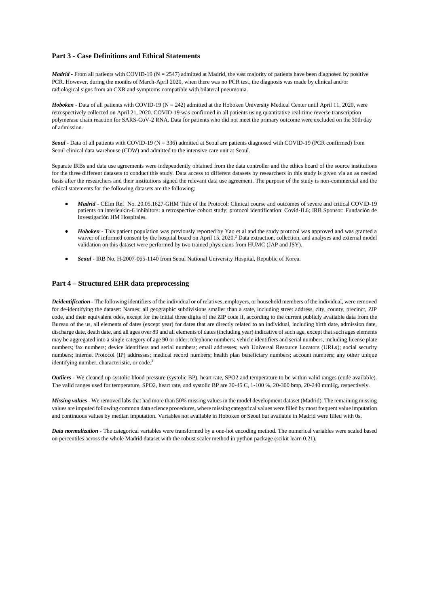#### **Part 3 - Case Definitions and Ethical Statements**

*Madrid* - From all patients with COVID-19 (N = 2547) admitted at Madrid, the vast majority of patients have been diagnosed by positive PCR. However, during the months of March-April 2020, when there was no PCR test, the diagnosis was made by clinical and/or radiological signs from an CXR and symptoms compatible with bilateral pneumonia.

*Hoboken* - Data of all patients with COVID-19 (N = 242) admitted at the Hoboken University Medical Center until April 11, 2020, were retrospectively collected on April 21, 2020. COVID-19 was confirmed in all patients using quantitative real-time reverse transcription polymerase chain reaction for SARS-CoV-2 RNA. Data for patients who did not meet the primary outcome were excluded on the 30th day of admission.

*Seoul* - Data of all patients with COVID-19 (N = 336) admitted at Seoul are patients diagnosed with COVID-19 (PCR confirmed) from Seoul clinical data warehouse (CDW) and admitted to the intensive care unit at Seoul.

Separate IRBs and data use agreements were independently obtained from the data controller and the ethics board of the source institutions for the three different datasets to conduct this study. Data access to different datasets by researchers in this study is given via an as needed basis after the researchers and their institutions signed the relevant data use agreement. The purpose of the study is non-commercial and the ethical statements for the following datasets are the following:

- *Madrid* CEIm Ref No. 20.05.1627-GHM Title of the Protocol: Clinical course and outcomes of severe and critical COVID-19 patients on interleukin-6 inhibitors: a retrospective cohort study; protocol identification: Covid-IL6; IRB Sponsor: Fundación de Investigación HM Hospitales.
- Hoboken This patient population was previously reported by Yao et al and the study protocol was approved and was granted a waiver of informed consent by the hospital board on April 15, 2020.<sup>2</sup> Data extraction, collection, and analyses and external model validation on this dataset were performed by two trained physicians from HUMC (JAP and JSY).
- *Seoul* IRB No. H-2007-065-1140 from Seoul National University Hospital, Republic of Korea.

#### **Part 4 – Structured EHR data preprocessing**

*Deidentification -* The following identifiers of the individual or of relatives, employers, or household members of the individual, were removed for de-identifying the dataset: Names; all geographic subdivisions smaller than a state, including street address, city, county, precinct, ZIP code, and their equivalent odes, except for the initial three digits of the ZIP code if, according to the current publicly available data from the Bureau of the us, all elements of dates (except year) for dates that are directly related to an individual, including birth date, admission date, discharge date, death date, and all ages over 89 and all elements of dates (including year) indicative of such age, except that such ages elements may be aggregated into a single category of age 90 or older; telephone numbers; vehicle identifiers and serial numbers, including license plate numbers; fax numbers; device identifiers and serial numbers; email addresses; web Universal Resource Locators (URLs); social security numbers; internet Protocol (IP) addresses; medical record numbers; health plan beneficiary numbers; account numbers; any other unique identifying number, characteristic, or code.<sup>3</sup>

*Outliers* **-** We cleaned up systolic blood pressure (systolic BP), heart rate, SPO2 and temperature to be within valid ranges (code available). The valid ranges used for temperature, SPO2, heart rate, and systolic BP are 30-45 C, 1-100 %, 20-300 bmp, 20-240 mmHg, respectively.

*Missing values* - We removed labs that had more than 50% missing values in the model development dataset (Madrid). The remaining missing values are imputed following common data science procedures, where missing categorical values were filled by most frequent value imputation and continuous values by median imputation. Variables not available in Hoboken or Seoul but available in Madrid were filled with 0s.

*Data normalization -* The categorical variables were transformed by a one-hot encoding method. The numerical variables were scaled based on percentiles across the whole Madrid dataset with the robust scaler method in python package (scikit learn 0.21).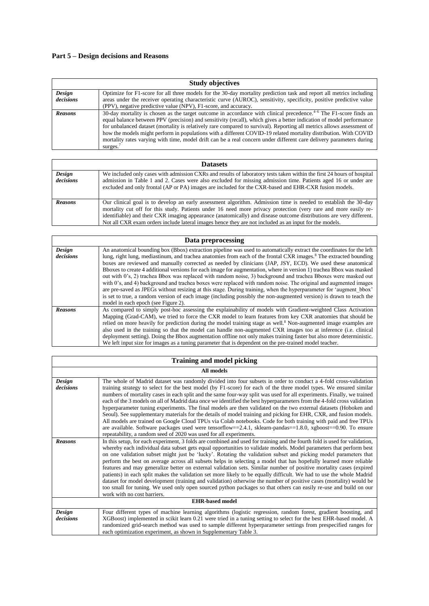### **Part 5 – Design decisions and Reasons**

|                     | <b>Study objectives</b>                                                                                                                                                                                                                                                                                                                                                                                                                                                                                                                                                                                                                |
|---------------------|----------------------------------------------------------------------------------------------------------------------------------------------------------------------------------------------------------------------------------------------------------------------------------------------------------------------------------------------------------------------------------------------------------------------------------------------------------------------------------------------------------------------------------------------------------------------------------------------------------------------------------------|
| Design<br>decisions | Optimize for F1-score for all three models for the 30-day mortality prediction task and report all metrics including<br>areas under the receiver operating characteristic curve (AUROC), sensitivity, specificity, positive predictive value<br>(PPV), negative predictive value (NPV), F1-score, and accuracy.                                                                                                                                                                                                                                                                                                                        |
| <b>Reasons</b>      | 30-day mortality is chosen as the target outcome in accordance with clinical precedence. <sup>4-6</sup> The F1-score finds an<br>equal balance between PPV (precision) and sensitivity (recall), which gives a better indication of model performance<br>for unbalanced dataset (mortality is relatively rare compared to survival). Reporting all metrics allows assessment of<br>how the models might perform in populations with a different COVID-19 related mortality distribution. With COVID<br>mortality rates varying with time, model drift can be a real concern under different care delivery parameters during<br>surges. |

|                     | <b>Datasets</b>                                                                                                                                                                                                                                                                                                                                                                                                                                                     |
|---------------------|---------------------------------------------------------------------------------------------------------------------------------------------------------------------------------------------------------------------------------------------------------------------------------------------------------------------------------------------------------------------------------------------------------------------------------------------------------------------|
| Design<br>decisions | We included only cases with admission CXRs and results of laboratory tests taken within the first 24 hours of hospital<br>admission in Table 1 and 2. Cases were also excluded for missing admission time. Patients aged 16 or under are<br>excluded and only frontal (AP or PA) images are included for the CXR-based and EHR-CXR fusion models.                                                                                                                   |
| <b>Reasons</b>      | Our clinical goal is to develop an early assessment algorithm. Admission time is needed to establish the 30-day<br>mortality cut off for this study. Patients under 16 need more privacy protection (very rare and more easily re-<br>identifiable) and their CXR imaging appearance (anatomically) and disease outcome distributions are very different.<br>Not all CXR exam orders include lateral images hence they are not included as an input for the models. |

|                     | Data preprocessing                                                                                                                                                                                                                                                                                                                                                                                                                                                                                                                                                                                                                                                                                                                                                                                                                                                                                                                                                                                                    |
|---------------------|-----------------------------------------------------------------------------------------------------------------------------------------------------------------------------------------------------------------------------------------------------------------------------------------------------------------------------------------------------------------------------------------------------------------------------------------------------------------------------------------------------------------------------------------------------------------------------------------------------------------------------------------------------------------------------------------------------------------------------------------------------------------------------------------------------------------------------------------------------------------------------------------------------------------------------------------------------------------------------------------------------------------------|
| Design<br>decisions | An anatomical bounding box (Bbox) extraction pipeline was used to automatically extract the coordinates for the left<br>lung, right lung, mediastinum, and trachea anatomies from each of the frontal CXR images. <sup>8</sup> The extracted bounding<br>boxes are reviewed and manually corrected as needed by clinicians (JAP, JSY, ECD). We used these anatomical<br>Bboxes to create 4 additional versions for each image for augmentation, where in version 1) trachea Bbox was masked<br>out with 0's, 2) trachea Bbox was replaced with random noise, 3) background and trachea Bboxes were masked out<br>with 0's, and 4) background and trachea boxes were replaced with random noise. The original and augmented images<br>are pre-saved as JPEGs without resizing at this stage. During training, when the hyperparameter for 'augment bbox'<br>is set to true, a random version of each image (including possibly the non-augmented version) is drawn to teach the<br>model in each epoch (see Figure 2). |
| <b>Reasons</b>      | As compared to simply post-hoc assessing the explainability of models with Gradient-weighted Class Activation<br>Mapping (Grad-CAM), we tried to force the CXR model to learn features from key CXR anatomies that should be<br>relied on more heavily for prediction during the model training stage as well. <sup>8</sup> Non-augmented image examples are<br>also used in the training so that the model can handle non-augmented CXR images too at inference (i.e. clinical<br>deployment setting). Doing the Bbox augmentation offline not only makes training faster but also more deterministic.<br>We left input size for images as a tuning parameter that is dependent on the pre-trained model teacher.                                                                                                                                                                                                                                                                                                    |

| <b>Training and model picking</b> |                                                                                                                                                                                                                                                                                                                                                                                                                                                                                                                                                                                                                                                                                                                                                                                                                                                                                                                                                                                                                                                 |  |  |  |
|-----------------------------------|-------------------------------------------------------------------------------------------------------------------------------------------------------------------------------------------------------------------------------------------------------------------------------------------------------------------------------------------------------------------------------------------------------------------------------------------------------------------------------------------------------------------------------------------------------------------------------------------------------------------------------------------------------------------------------------------------------------------------------------------------------------------------------------------------------------------------------------------------------------------------------------------------------------------------------------------------------------------------------------------------------------------------------------------------|--|--|--|
|                                   | All models                                                                                                                                                                                                                                                                                                                                                                                                                                                                                                                                                                                                                                                                                                                                                                                                                                                                                                                                                                                                                                      |  |  |  |
| Design<br>decisions               | The whole of Madrid dataset was randomly divided into four subsets in order to conduct a 4-fold cross-validation<br>training strategy to select for the best model (by F1-score) for each of the three model types. We ensured similar<br>numbers of mortality cases in each split and the same four-way split was used for all experiments. Finally, we trained<br>each of the 3 models on all of Madrid data once we identified the best hyperparameters from the 4-fold cross validation<br>hyperparameter tuning experiments. The final models are then validated on the two external datasets (Hoboken and<br>Seoul). See supplementary materials for the details of model training and picking for EHR, CXR, and fusion models.<br>All models are trained on Google Cloud TPUs via Colab notebooks. Code for both training with paid and free TPUs<br>are available. Software packages used were tensorflow==2.4.1, sklearn-pandas==1.8.0, xgboost==0.90. To ensure<br>repeatability, a random seed of 2020 was used for all experiments. |  |  |  |
| <b>Reasons</b>                    | In this setup, for each experiment, 3 folds are combined and used for training and the fourth fold is used for validation,<br>whereby each individual data subset gets equal opportunities to validate models. Model parameters that perform best<br>on one validation subset might just be 'lucky'. Rotating the validation subset and picking model parameters that<br>perform the best on average across all subsets helps in selecting a model that has hopefully learned more reliable<br>features and may generalize better on external validation sets. Similar number of positive mortality cases (expired<br>patients) in each split makes the validation set more likely to be equally difficult. We had to use the whole Madrid<br>dataset for model development (training and validation) otherwise the number of positive cases (mortality) would be<br>too small for tuning. We used only open sourced python packages so that others can easily re-use and build on our<br>work with no cost barriers.                           |  |  |  |
| <b>EHR-based model</b>            |                                                                                                                                                                                                                                                                                                                                                                                                                                                                                                                                                                                                                                                                                                                                                                                                                                                                                                                                                                                                                                                 |  |  |  |
| Design<br>decisions               | Four different types of machine learning algorithms (logistic regression, random forest, gradient boosting, and<br>XGBoost) implemented in scikit learn 0.21 were tried in a tuning setting to select for the best EHR-based model. A<br>randomized grid-search method was used to sample different hyperparameter settings from prespecified ranges for<br>each optimization experiment, as shown in Supplementary Table 3.                                                                                                                                                                                                                                                                                                                                                                                                                                                                                                                                                                                                                    |  |  |  |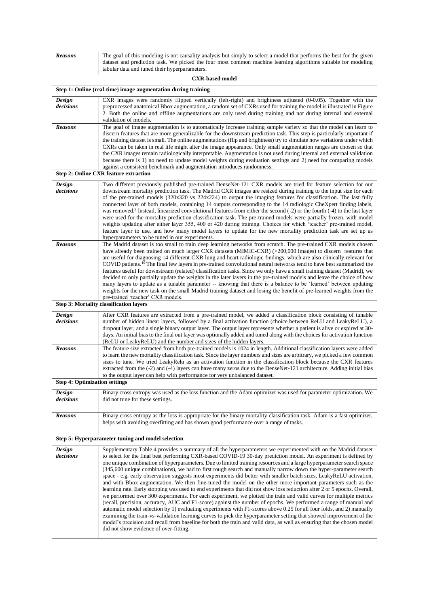| <b>Reasons</b>                       | The goal of this modeling is not causality analysis but simply to select a model that performs the best for the given<br>dataset and prediction task. We picked the four most common machine learning algorithms suitable for modeling<br>tabular data and tuned their hyperparameters.                                                                                                                                                                                                                                                                                                                                                                                                                                                                                                                                                                                                                                                                                                                                                                                                                                                                                                                                                                                                                                                                                                                                                                                                                      |
|--------------------------------------|--------------------------------------------------------------------------------------------------------------------------------------------------------------------------------------------------------------------------------------------------------------------------------------------------------------------------------------------------------------------------------------------------------------------------------------------------------------------------------------------------------------------------------------------------------------------------------------------------------------------------------------------------------------------------------------------------------------------------------------------------------------------------------------------------------------------------------------------------------------------------------------------------------------------------------------------------------------------------------------------------------------------------------------------------------------------------------------------------------------------------------------------------------------------------------------------------------------------------------------------------------------------------------------------------------------------------------------------------------------------------------------------------------------------------------------------------------------------------------------------------------------|
|                                      | <b>CXR-based model</b>                                                                                                                                                                                                                                                                                                                                                                                                                                                                                                                                                                                                                                                                                                                                                                                                                                                                                                                                                                                                                                                                                                                                                                                                                                                                                                                                                                                                                                                                                       |
|                                      | Step 1: Online (real-time) image augmentation during training                                                                                                                                                                                                                                                                                                                                                                                                                                                                                                                                                                                                                                                                                                                                                                                                                                                                                                                                                                                                                                                                                                                                                                                                                                                                                                                                                                                                                                                |
| Design<br>decisions                  | CXR images were randomly flipped vertically (left-right) and brightness adjusted (0-0.05). Together with the<br>preprocessed anatomical Bbox augmentation, a random set of CXRs used for training the model is illustrated in Figure<br>2. Both the online and offline augmentations are only used during training and not during internal and external<br>validation of models.                                                                                                                                                                                                                                                                                                                                                                                                                                                                                                                                                                                                                                                                                                                                                                                                                                                                                                                                                                                                                                                                                                                             |
| <b>Reasons</b>                       | The goal of image augmentation is to automatically increase training sample variety so that the model can learn to<br>discern features that are more generalizable for the downstream prediction task. This step is particularly important if<br>the training dataset is small. The online augmentations (flip and brightness) try to simulate how variations under which<br>CXRs can be taken in real life might alter the image appearance. Only small augmentation ranges are chosen so that<br>the CXR images remain radiologically interpretable. Augmentation is not used during internal and external validation<br>because there is 1) no need to update model weights during evaluation settings and 2) need for comparing models<br>against a consistent benchmark and augmentation introduces randomness.                                                                                                                                                                                                                                                                                                                                                                                                                                                                                                                                                                                                                                                                                         |
|                                      | <b>Step 2: Online CXR feature extraction</b>                                                                                                                                                                                                                                                                                                                                                                                                                                                                                                                                                                                                                                                                                                                                                                                                                                                                                                                                                                                                                                                                                                                                                                                                                                                                                                                                                                                                                                                                 |
| Design<br>decisions                  | Two different previously published pre-trained DenseNet-121 CXR models are tried for feature selection for our<br>downstream mortality prediction task. The Madrid CXR images are resized during training to the input size for each<br>of the pre-trained models $(320x320 \text{ vs } 224x224)$ to output the imaging features for classification. The last fully<br>connected layer of both models, containing 14 outputs corresponding to the 14 radiologic CheXpert finding labels,<br>was removed. <sup>9</sup> Instead, linearized convolutional features from either the second (-2) or the fourth (-4) to the last layer<br>were used for the mortality prediction classification task. The pre-trained models were partially frozen, with model<br>weights updating after either layer 355, 400 or 420 during training. Choices for which 'teacher' pre-trained model,<br>feature layer to use, and how many model layers to update for the new mortality prediction task are set up as<br>hyperparameters to be tuned in our experiments.                                                                                                                                                                                                                                                                                                                                                                                                                                                         |
| <b>Reasons</b>                       | The Madrid dataset is too small to train deep learning networks from scratch. The pre-trained CXR models chosen<br>have already been trained on much larger CXR datasets (MIMIC-CXR) (>200,000 images) to discern features that<br>are useful for diagnosing 14 different CXR lung and heart radiologic findings, which are also clinically relevant for<br>COVID patients. <sup>10</sup> The final few layers in pre-trained convolutional neural networks tend to have best summarized the<br>features useful for downstream (related) classification tasks. Since we only have a small training dataset (Madrid), we<br>decided to only partially update the weights in the later layers in the pre-trained models and leave the choice of how<br>many layers to update as a tunable parameter -- knowing that there is a balance to be 'learned' between updating<br>weights for the new task on the small Madrid training dataset and losing the benefit of pre-learned weights from the<br>pre-trained 'teacher' CXR models.                                                                                                                                                                                                                                                                                                                                                                                                                                                                           |
|                                      | Step 3: Mortality classification layers                                                                                                                                                                                                                                                                                                                                                                                                                                                                                                                                                                                                                                                                                                                                                                                                                                                                                                                                                                                                                                                                                                                                                                                                                                                                                                                                                                                                                                                                      |
| Design<br>decisions                  | After CXR features are extracted from a pre-trained model, we added a classification block consisting of tunable<br>number of hidden linear layers, followed by a final activation function (choice between ReLU and LeakyReLU), a<br>dropout layer, and a single binary output layer. The output layer represents whether a patient is alive or expired at 30-<br>days. An initial bias to the final out layer was optionally added and tuned along with the choices for activation function<br>(ReLU or LeakyReLU) and the number and sizes of the hidden layers.                                                                                                                                                                                                                                                                                                                                                                                                                                                                                                                                                                                                                                                                                                                                                                                                                                                                                                                                          |
| <b>Reasons</b>                       | The feature size extracted from both pre-trained models is 1024 in length. Additional classification layers were added<br>to learn the new mortality classification task. Since the layer numbers and sizes are arbitrary, we picked a few common<br>sizes to tune. We tried LeakyRelu as an activation function in the classification block because the CXR features<br>extracted from the (-2) and (-4) layers can have many zeros due to the DenseNet-121 architecture. Adding initial bias<br>to the output layer can help with performance for very unbalanced dataset.                                                                                                                                                                                                                                                                                                                                                                                                                                                                                                                                                                                                                                                                                                                                                                                                                                                                                                                                 |
| <b>Step 4: Optimization settings</b> |                                                                                                                                                                                                                                                                                                                                                                                                                                                                                                                                                                                                                                                                                                                                                                                                                                                                                                                                                                                                                                                                                                                                                                                                                                                                                                                                                                                                                                                                                                              |
| Design<br>decisions                  | Binary cross entropy was used as the loss function and the Adam optimizer was used for parameter optimization. We<br>did not tune for these settings.                                                                                                                                                                                                                                                                                                                                                                                                                                                                                                                                                                                                                                                                                                                                                                                                                                                                                                                                                                                                                                                                                                                                                                                                                                                                                                                                                        |
| <b>Reasons</b>                       | Binary cross entropy as the loss is appropriate for the binary mortality classification task. Adam is a fast optimizer,<br>helps with avoiding overfitting and has shown good performance over a range of tasks.                                                                                                                                                                                                                                                                                                                                                                                                                                                                                                                                                                                                                                                                                                                                                                                                                                                                                                                                                                                                                                                                                                                                                                                                                                                                                             |
|                                      | Step 5: Hyperparameter tuning and model selection                                                                                                                                                                                                                                                                                                                                                                                                                                                                                                                                                                                                                                                                                                                                                                                                                                                                                                                                                                                                                                                                                                                                                                                                                                                                                                                                                                                                                                                            |
| Design<br>decisions                  | Supplementary Table 4 provides a summary of all the hyperparameters we experimented with on the Madrid dataset<br>to select for the final best performing CXR-based COVID-19 30-day prediction model. An experiment is defined by<br>one unique combination of hyperparameters. Due to limited training resources and a large hyperparameter search space<br>(345,600 unique combinations), we had to first rough search and manually narrow down the hyper-parameter search<br>space - e.g. early observation suggests most experiments did better with smaller batch sizes, LeakyReLU activation,<br>and with Bbox augmentation. We then fine-tuned the model on the other more important parameters such as the<br>learning rate. Early stopping was used to end experiments that did not show loss reduction after 2 or 5 epochs. Overall,<br>we performed over 300 experiments. For each experiment, we plotted the train and valid curves for multiple metrics<br>(recall, precision, accuracy, AUC and F1-score) against the number of epochs. We performed a range of manual and<br>automatic model selection by 1) evaluating experiments with F1-scores above 0.25 for all four folds, and 2) manually<br>examining the train-vs-validation learning curves to pick the hyperparameter setting that showed improvement of the<br>model's precision and recall from baseline for both the train and valid data, as well as ensuring that the chosen model<br>did not show evidence of over-fitting. |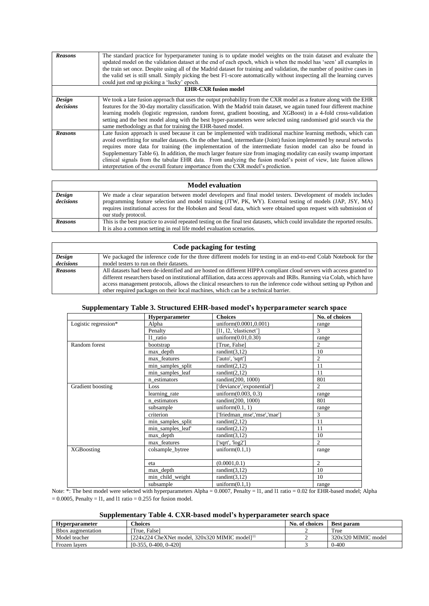| <b>Reasons</b> | The standard practice for hyperparameter tuning is to update model weights on the train dataset and evaluate the<br>updated model on the validation dataset at the end of each epoch, which is when the model has 'seen' all examples in<br>the train set once. Despite using all of the Madrid dataset for training and validation, the number of positive cases in<br>the valid set is still small. Simply picking the best F1-score automatically without inspecting all the learning curves<br>could just end up picking a 'lucky' epoch. |  |  |  |
|----------------|-----------------------------------------------------------------------------------------------------------------------------------------------------------------------------------------------------------------------------------------------------------------------------------------------------------------------------------------------------------------------------------------------------------------------------------------------------------------------------------------------------------------------------------------------|--|--|--|
|                | <b>EHR-CXR</b> fusion model                                                                                                                                                                                                                                                                                                                                                                                                                                                                                                                   |  |  |  |
| Design         | We took a late fusion approach that uses the output probability from the CXR model as a feature along with the EHR                                                                                                                                                                                                                                                                                                                                                                                                                            |  |  |  |
| decisions      | features for the 30-day mortality classification. With the Madrid train dataset, we again tuned four different machine                                                                                                                                                                                                                                                                                                                                                                                                                        |  |  |  |
|                | learning models (logistic regression, random forest, gradient boosting, and XGBoost) in a 4-fold cross-validation                                                                                                                                                                                                                                                                                                                                                                                                                             |  |  |  |
|                | setting and the best model along with the best hyper-parameters were selected using randomised grid search via the                                                                                                                                                                                                                                                                                                                                                                                                                            |  |  |  |
|                | same methodology as that for training the EHR-based model.                                                                                                                                                                                                                                                                                                                                                                                                                                                                                    |  |  |  |
| <b>Reasons</b> | Late fusion approach is used because it can be implemented with traditional machine learning methods, which can                                                                                                                                                                                                                                                                                                                                                                                                                               |  |  |  |
|                | avoid overfitting for smaller datasets. On the other hand, intermediate (Joint) fusion implemented by neural networks                                                                                                                                                                                                                                                                                                                                                                                                                         |  |  |  |
|                | requires more data for training (the implementation of the intermediate fusion model can also be found in                                                                                                                                                                                                                                                                                                                                                                                                                                     |  |  |  |
|                | Supplementary Table 6). In addition, the much larger feature size from imaging modality can easily swamp important                                                                                                                                                                                                                                                                                                                                                                                                                            |  |  |  |
|                | clinical signals from the tabular EHR data. From analyzing the fusion model's point of view, late fusion allows                                                                                                                                                                                                                                                                                                                                                                                                                               |  |  |  |
|                | interpretation of the overall feature importance from the CXR model's prediction.                                                                                                                                                                                                                                                                                                                                                                                                                                                             |  |  |  |

| <b>Model evaluation</b> |                                                                                                                                                                                                                                                                                                                                                                      |  |  |
|-------------------------|----------------------------------------------------------------------------------------------------------------------------------------------------------------------------------------------------------------------------------------------------------------------------------------------------------------------------------------------------------------------|--|--|
| Design<br>decisions     | We made a clear separation between model developers and final model testers. Development of models includes<br>programming feature selection and model training (JTW, PK, WY). External testing of models (JAP, JSY, MA)<br>requires institutional access for the Hoboken and Seoul data, which were obtained upon request with submission of<br>our study protocol. |  |  |
| <b>Reasons</b>          | This is the best practice to avoid repeated testing on the final test datasets, which could invalidate the reported results.<br>It is also a common setting in real life model evaluation scenarios.                                                                                                                                                                 |  |  |

| Code packaging for testing |                                                                                                                         |  |  |  |  |
|----------------------------|-------------------------------------------------------------------------------------------------------------------------|--|--|--|--|
| Design                     | We packaged the inference code for the three different models for testing in an end-to-end Colab Notebook for the       |  |  |  |  |
| decisions                  | model testers to run on their datasets.                                                                                 |  |  |  |  |
| <b>Reasons</b>             | All datasets had been de-identified and are hosted on different HIPPA compliant cloud servers with access granted to    |  |  |  |  |
|                            | different researchers based on institutional affiliation, data access approvals and IRBs. Running via Colab, which have |  |  |  |  |
|                            | access management protocols, allows the clinical researchers to run the inference code without setting up Python and    |  |  |  |  |
|                            | other required packages on their local machines, which can be a technical barrier.                                      |  |  |  |  |

|                      | <b>Hyperparameter</b> | <b>Choices</b>              | No. of choices |
|----------------------|-----------------------|-----------------------------|----------------|
| Logistic regression* | Alpha                 | uniform(0.0001,0.001)       | range          |
|                      | Penalty               | [11, 12, 'elasticnet']      | $\mathcal{F}$  |
|                      | 11 ratio              | uniform $(0.01, 0.30)$      | range          |
| Random forest        | bootstrap             | [True, False]               | $\overline{2}$ |
|                      | max depth             | randint $(3,12)$            | 10             |
|                      | max features          | 'auto', 'sqrt']             | $\overline{2}$ |
|                      | min_samples_split     | randint $(2,12)$            | 11             |
|                      | min_samples_leaf      | randint $(2,12)$            | 11             |
|                      | n_estimators          | randint(200, 1000)          | 801            |
| Gradient boosting    | Loss                  | ['deviance','exponential']  | $\mathfrak{D}$ |
|                      | learning rate         | uniform $(0.003, 0.3)$      | range          |
|                      | n_estimators          | randint(200, 1000)          | 801            |
|                      | subsample             | uniform $(0.1, 1)$          | range          |
|                      | criterion             | 'friedman_mse','mse','mae'] | 3              |
|                      | min_samples_split     | randint $(2,12)$            | 11             |
|                      | min_samples_leaf      | randint $(2,12)$            | 11             |
|                      | max depth             | randint $(3,12)$            | 10             |
|                      | max features          | ['sqrt', 'log2']            | $\mathfrak{D}$ |
| <b>XGB</b> oosting   | colsample bytree      | uniform $(0.1,1)$           | range          |
|                      | eta                   | (0.0001, 0.1)               | $\overline{c}$ |
|                      | max_depth             | randint $(3,12)$            | 10             |
|                      | min_child_weight      | randint $(3,12)$            | 10             |
|                      | subsample             | uniform(0.1,1)              | range          |

Note: \*: The best model were selected with hyperparameters Alpha = 0.0007, Penalty = l1, and l1 ratio = 0.02 for EHR-based model; Alpha  $= 0.0005$ , Penalty  $= 11$ , and 11 ratio  $= 0.255$  for fusion model.

### **Supplementary Table 4. CXR-based model's hyperparameter search space**

| <b>Hyperparameter</b> | <b>Thoices</b>                                                 | No. of choices | <b>Best param</b>   |
|-----------------------|----------------------------------------------------------------|----------------|---------------------|
| Bbox augmentation     | True. Falsel                                                   |                | True                |
| Model teacher         | $[224x224$ CheXNet model, $320x320$ MIMIC model <sup>111</sup> |                | 320x320 MIMIC model |
| Frozen lavers         | $[0-355, 0-400, 0-420]$                                        |                | $0 - 400$           |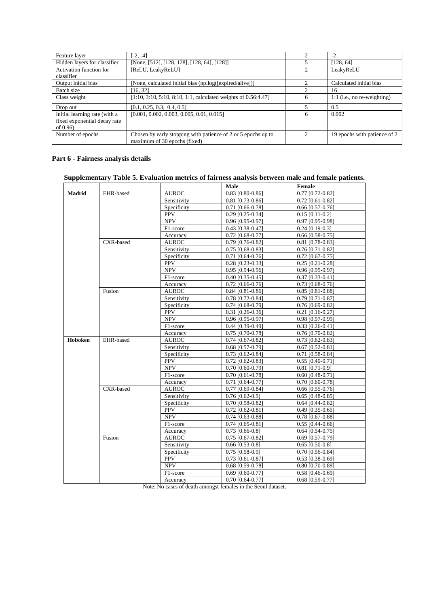| Feature layer                 | $[-2, -4]$                                                        |                | $-2$                          |
|-------------------------------|-------------------------------------------------------------------|----------------|-------------------------------|
| Hidden layers for classifier  | [None, [512], [128, 128], [128, 64], [128]]                       |                | [128, 64]                     |
| Activation function for       | [ReLU, LeakyReLU]                                                 |                | LeakyReLU                     |
| classifier                    |                                                                   |                |                               |
| Output initial bias           | [None, calculated initial bias (np.log([expired/alive])]          |                | Calculated initial bias       |
| Batch size                    | [16, 32]                                                          |                | 16                            |
| Class weight                  | $[1:10, 3:10, 5:10, 8:10, 1:1$ , calculated weights of 0.56:4.47] | 6              | $1:1$ (i.e., no re-weighting) |
| Drop out                      | [0.1, 0.25, 0.3, 0.4, 0.5]                                        |                | 0.5                           |
| Initial learning rate (with a | $[0.001, 0.002, 0.003, 0.005, 0.01, 0.015]$                       | 6              | 0.002                         |
| fixed exponential decay rate  |                                                                   |                |                               |
| of $0.96$                     |                                                                   |                |                               |
| Number of epochs              | Chosen by early stopping with patience of 2 or 5 epochs up to     | $\mathfrak{D}$ | 19 epochs with patience of 2  |
|                               | maximum of 30 epochs (fixed)                                      |                |                               |

#### **Part 6 - Fairness analysis details**

### **Supplementary Table 5. Evaluation metrics of fairness analysis between male and female patients.**

|               |           |              | Male               | Female             |
|---------------|-----------|--------------|--------------------|--------------------|
| <b>Madrid</b> | EHR-based | <b>AUROC</b> | $0.83$ [0.80-0.86] | $0.77$ [0.72-0.82] |
|               |           | Sensitivity  | 0.81 [0.73-0.86]   | $0.72$ [0.61-0.82] |
|               |           | Specificity  | $0.71$ [0.66-0.78] | $0.66$ [0.57-0.76] |
|               |           | <b>PPV</b>   | 0.29 [0.25-0.34]   | $0.15$ [0.11-0.2]  |
|               |           | <b>NPV</b>   | 0.96 [0.95-0.97]   | 0.97 [0.95-0.98]   |
|               |           | F1-score     | 0.43 [0.38-0.47]   | $0.24$ [0.19-0.3]  |
|               |           | Accuracy     | $0.72$ [0.68-0.77] | $0.66$ [0.58-0.75] |
|               | CXR-based | <b>AUROC</b> | 0.79 [0.76-0.82]   | 0.81 [0.78-0.83]   |
|               |           | Sensitivity  | $0.75$ [0.68-0.83] | $0.76$ [0.71-0.82] |
|               |           | Specificity  | $0.71$ [0.64-0.76] | $0.72$ [0.67-0.75] |
|               |           | <b>PPV</b>   | $0.28$ [0.23-0.33] | $0.25$ [0.21-0.28] |
|               |           | <b>NPV</b>   | $0.95$ [0.94-0.96] | $0.96$ [0.95-0.97] |
|               |           | F1-score     | $0.40$ [0.35-0.45] | $0.37$ [0.33-0.41] |
|               |           | Accuracy     | $0.72$ [0.66-0.76] | $0.73$ [0.68-0.76] |
|               | Fusion    | <b>AUROC</b> | $0.84$ [0.81-0.86] | $0.85$ [0.81-0.88] |
|               |           | Sensitivity  | $0.78$ [0.72-0.84] | $0.79$ [0.71-0.87] |
|               |           | Specificity  | $0.74$ [0.68-0.79] | $0.76$ [0.69-0.82] |
|               |           | <b>PPV</b>   | $0.31$ [0.26-0.36] | $0.21$ [0.16-0.27] |
|               |           | <b>NPV</b>   | 0.96 [0.95-0.97]   | 0.98 [0.97-0.99]   |
|               |           | F1-score     | $0.44$ [0.39-0.49] | $0.33$ [0.26-0.41] |
|               |           | Accuracy     | 0.75 [0.70-0.78]   | $0.76$ [0.70-0.82] |
| Hoboken       | EHR-based | <b>AUROC</b> | $0.74$ [0.67-0.82] | $0.73$ [0.62-0.83] |
|               |           | Sensitivity  | $0.68$ [0.57-0.79] | $0.67$ [0.52-0.81] |
|               |           | Specificity  | $0.73$ [0.62-0.84] | $0.71$ [0.58-0.84] |
|               |           | <b>PPV</b>   | $0.72$ [0.62-0.83] | $0.55$ [0.40-0.71] |
|               |           | <b>NPV</b>   | $0.70$ [0.60-0.79] | $0.81$ [0.71-0.9]  |
|               |           | F1-score     | 0.70 [0.61-0.78]   | $0.60$ [0.48-0.71] |
|               |           | Accuracy     | $0.71$ [0.64-0.77] | 0.70 [0.60-0.78]   |
|               | CXR-based | <b>AUROC</b> | $0.77$ [0.69-0.84] | $0.66$ [0.55-0.76] |
|               |           | Sensitivity  | $0.76$ [0.62-0.9]  | $0.65$ [0.48-0.85] |
|               |           | Specificity  | 0.70 [0.58-0.82]   | $0.64$ [0.44-0.82] |
|               |           | <b>PPV</b>   | $0.72$ [0.62-0.81] | $0.49$ [0.35-0.65] |
|               |           | <b>NPV</b>   | $0.74$ [0.63-0.88] | $0.78$ [0.67-0.88] |
|               |           | F1-score     | $0.74$ [0.65-0.81] | $0.55$ [0.44-0.66] |
|               |           | Accuracy     | $0.73$ [0.66-0.8]  | $0.64$ [0.54-0.75] |
|               | Fusion    | <b>AUROC</b> | $0.75$ [0.67-0.82] | $0.69$ [0.57-0.79] |
|               |           | Sensitivity  | $0.66$ [0.53-0.8]  | $0.65$ [0.50-0.8]  |
|               |           | Specificity  | $0.75$ [0.58-0.9]  | $0.70$ [0.56-0.84] |
|               |           | <b>PPV</b>   | $0.73$ [0.61-0.87] | $0.53$ [0.38-0.69] |
|               |           | <b>NPV</b>   | $0.68$ [0.59-0.78] | $0.80$ [0.70-0.89] |
|               |           | F1-score     | $0.69$ [0.60-0.77] | $0.58$ [0.46-0.69] |
|               |           | Accuracy     | $0.70$ [0.64-0.77] | $0.68$ [0.59-0.77] |

Note: No cases of death amongst females in the Seoul dataset.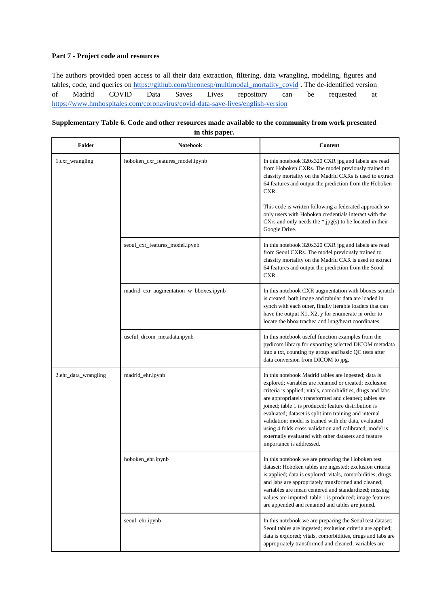#### **Part 7 - Project code and resources**

The authors provided open access to all their data extraction, filtering, data wrangling, modeling, figures and tables, code, and queries on [https://github.com/theonesp/multimodal\\_mortality\\_covid](https://github.com/theonesp/multimodal_mortality_covid) . The de-identified version of Madrid COVID Data Saves Lives repository can be requested at <https://www.hmhospitales.com/coronavirus/covid-data-save-lives/english-version>

| Supplementary Table 6. Code and other resources made available to the community from work presented |
|-----------------------------------------------------------------------------------------------------|
| in this paper.                                                                                      |

| Folder               | <b>Notebook</b>                        | <b>Content</b>                                                                                                                                                                                                                                                                                                                                                                                                                                                                                                                                                 |
|----------------------|----------------------------------------|----------------------------------------------------------------------------------------------------------------------------------------------------------------------------------------------------------------------------------------------------------------------------------------------------------------------------------------------------------------------------------------------------------------------------------------------------------------------------------------------------------------------------------------------------------------|
| 1.cxr_wrangling      | hoboken_cxr_features_model.ipynb       | In this notebook 320x320 CXR jpg and labels are read<br>from Hoboken CXRs. The model previously trained to<br>classify mortality on the Madrid CXRs is used to extract<br>64 features and output the prediction from the Hoboken<br>CXR.                                                                                                                                                                                                                                                                                                                       |
|                      |                                        | This code is written following a federated approach so<br>only users with Hoboken credentials interact with the<br>CXrs and only needs the $*.jpg(s)$ to be located in their<br>Google Drive.                                                                                                                                                                                                                                                                                                                                                                  |
|                      | seoul_cxr_features_model.ipynb         | In this notebook 320x320 CXR jpg and labels are read<br>from Seoul CXRs. The model previously trained to<br>classify mortality on the Madrid CXR is used to extract<br>64 features and output the prediction from the Seoul<br>CXR.                                                                                                                                                                                                                                                                                                                            |
|                      | madrid_cxr_augmentation_w_bboxes.ipynb | In this notebook CXR augmentation with bboxes scratch<br>is created, both image and tabular data are loaded in<br>synch with each other, finally iterable loaders that can<br>have the output X1, X2, y for enumerate in order to<br>locate the bbox trachea and lung/heart coordinates.                                                                                                                                                                                                                                                                       |
|                      | useful_dicom_metadata.ipynb            | In this notebook useful function examples from the<br>pydicom library for exporting selected DICOM metadata<br>into a txt, counting by group and basic QC tests after<br>data conversion from DICOM to jpg.                                                                                                                                                                                                                                                                                                                                                    |
| 2.ehr_data_wrangling | madrid_ehr.ipynb                       | In this notebook Madrid tables are ingested; data is<br>explored; variables are renamed or created; exclusion<br>criteria is applied; vitals, comorbidities, drugs and labs<br>are appropriately transformed and cleaned; tables are<br>joined; table 1 is produced; feature distribution is<br>evaluated; dataset is split into training and internal<br>validation; model is trained with ehr data, evaluated<br>using 4 folds cross-validation and calibrated; model is<br>externally evaluated with other datasets and feature<br>importance is addressed. |
|                      | hoboken_ehr.ipynb                      | In this notebook we are preparing the Hoboken test<br>dataset: Hoboken tables are ingested; exclusion criteria<br>is applied; data is explored; vitals, comorbidities, drugs<br>and labs are appropriately transformed and cleaned;<br>variables are mean centered and standardized; missing<br>values are imputed; table 1 is produced; image features<br>are appended and renamed and tables are joined.                                                                                                                                                     |
|                      | seoul_ehr.ipynb                        | In this notebook we are preparing the Seoul test dataset:<br>Seoul tables are ingested; exclusion criteria are applied;<br>data is explored; vitals, comorbidities, drugs and labs are<br>appropriately transformed and cleaned; variables are                                                                                                                                                                                                                                                                                                                 |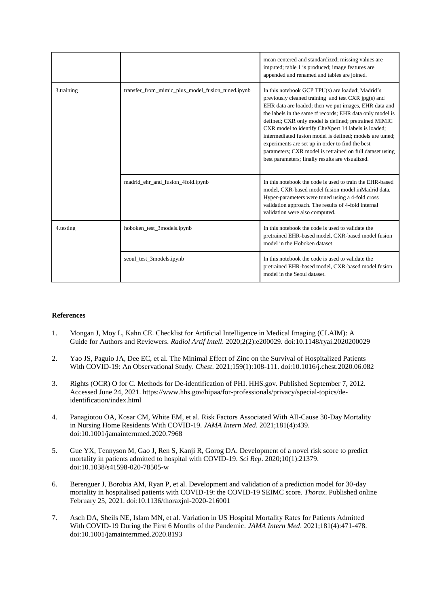|            |                                                   | mean centered and standardized; missing values are<br>imputed; table 1 is produced; image features are<br>appended and renamed and tables are joined.                                                                                                                                                                                                                                                                                                                                                                                                                        |
|------------|---------------------------------------------------|------------------------------------------------------------------------------------------------------------------------------------------------------------------------------------------------------------------------------------------------------------------------------------------------------------------------------------------------------------------------------------------------------------------------------------------------------------------------------------------------------------------------------------------------------------------------------|
| 3.training | transfer_from_mimic_plus_model_fusion_tuned.ipynb | In this notebook GCP TPU(s) are loaded; Madrid's<br>previously cleaned training and test CXR jpg(s) and<br>EHR data are loaded; then we put images, EHR data and<br>the labels in the same tf records; EHR data only model is<br>defined; CXR only model is defined; pretrained MIMIC<br>CXR model to identify CheXpert 14 labels is loaded;<br>intermediated fusion model is defined; models are tuned;<br>experiments are set up in order to find the best<br>parameters; CXR model is retrained on full dataset using<br>best parameters; finally results are visualized. |
|            | madrid_ehr_and_fusion_4fold.ipynb                 | In this notebook the code is used to train the EHR-based<br>model, CXR-based model fusion model in Madrid data.<br>Hyper-parameters were tuned using a 4-fold cross<br>validation approach. The results of 4-fold internal<br>validation were also computed.                                                                                                                                                                                                                                                                                                                 |
| 4.testing  | hoboken_test_3models.ipynb                        | In this notebook the code is used to validate the<br>pretrained EHR-based model, CXR-based model fusion<br>model in the Hoboken dataset.                                                                                                                                                                                                                                                                                                                                                                                                                                     |
|            | seoul_test_3models.ipynb                          | In this notebook the code is used to validate the<br>pretrained EHR-based model, CXR-based model fusion<br>model in the Seoul dataset.                                                                                                                                                                                                                                                                                                                                                                                                                                       |

#### **References**

- 1. Mongan J, Moy L, Kahn CE. Checklist for Artificial Intelligence in Medical Imaging (CLAIM): A Guide for Authors and Reviewers. *Radiol Artif Intell*. 2020;2(2):e200029. doi:10.1148/ryai.2020200029
- 2. Yao JS, Paguio JA, Dee EC, et al. The Minimal Effect of Zinc on the Survival of Hospitalized Patients With COVID-19: An Observational Study. *Chest*. 2021;159(1):108-111. doi:10.1016/j.chest.2020.06.082
- 3. Rights (OCR) O for C. Methods for De-identification of PHI. HHS.gov. Published September 7, 2012. Accessed June 24, 2021. https://www.hhs.gov/hipaa/for-professionals/privacy/special-topics/deidentification/index.html
- 4. Panagiotou OA, Kosar CM, White EM, et al. Risk Factors Associated With All-Cause 30-Day Mortality in Nursing Home Residents With COVID-19. *JAMA Intern Med*. 2021;181(4):439. doi:10.1001/jamainternmed.2020.7968
- 5. Gue YX, Tennyson M, Gao J, Ren S, Kanji R, Gorog DA. Development of a novel risk score to predict mortality in patients admitted to hospital with COVID-19. *Sci Rep*. 2020;10(1):21379. doi:10.1038/s41598-020-78505-w
- 6. Berenguer J, Borobia AM, Ryan P, et al. Development and validation of a prediction model for 30-day mortality in hospitalised patients with COVID-19: the COVID-19 SEIMC score. *Thorax*. Published online February 25, 2021. doi:10.1136/thoraxjnl-2020-216001
- 7. Asch DA, Sheils NE, Islam MN, et al. Variation in US Hospital Mortality Rates for Patients Admitted With COVID-19 During the First 6 Months of the Pandemic. *JAMA Intern Med*. 2021;181(4):471-478. doi:10.1001/jamainternmed.2020.8193